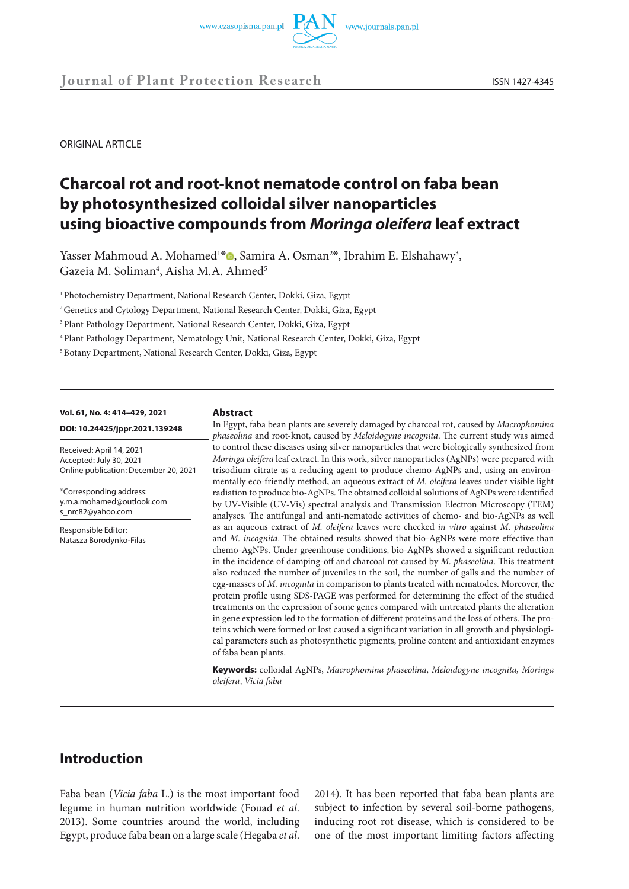



**Journal of Plant Protection Research** ISSN 1427-4345

ORIGINAL ARTICLE

# **Charcoal rot and root-knot nematode control on faba bean by photosynthesized colloidal silver nanoparticles using bioactive compounds from** *Moringa oleifera* **leaf extract**

Yasser Mahmoud A. Mohamed<sup>1[\\*](https://orcid.org/0000-0003-4678-9767)</sup><sup>0</sup>, Samira A. Osman<sup>2\*</sup>, Ibrahim E. Elshahawy<sup>3</sup>, Gazeia M. Soliman<sup>4</sup>, Aisha M.A. Ahmed<sup>5</sup>

<sup>1</sup> Photochemistry Department, National Research Center, Dokki, Giza, Egypt

<sup>2</sup> Genetics and Cytology Department, National Research Center, Dokki, Giza, Egypt

<sup>3</sup> Plant Pathology Department, National Research Center, Dokki, Giza, Egypt

4 Plant Pathology Department, Nematology Unit, National Research Center, Dokki, Giza, Egypt

5 Botany Department, National Research Center, Dokki, Giza, Egypt

#### **Vol. 61, No. 4: 414–429, 2021**

**DOI: 10.24425/jppr.2021.139248**

Received: April 14, 2021 Accepted: July 30, 2021 Online publication: December 20, 2021

\*Corresponding address: y.m.a.mohamed@outlook.com s\_nrc82@yahoo.com

Responsible Editor: Natasza Borodynko-Filas

#### **Abstract**

In Egypt, faba bean plants are severely damaged by charcoal rot, caused by *Macrophomina phaseolina* and root-knot, caused by *Meloidogyne incognita*. The current study was aimed to control these diseases using silver nanoparticles that were biologically synthesized from *Moringa oleifera* leaf extract. In this work, silver nanoparticles (AgNPs) were prepared with trisodium citrate as a reducing agent to produce chemo-AgNPs and, using an environmentally eco-friendly method, an aqueous extract of *M. oleifera* leaves under visible light radiation to produce bio-AgNPs. The obtained colloidal solutions of AgNPs were identified by UV-Visible (UV-Vis) spectral analysis and Transmission Electron Microscopy (TEM) analyses. The antifungal and anti-nematode activities of chemo- and bio-AgNPs as well as an aqueous extract of *M. oleifera* leaves were checked *in vitro* against *M. phaseolina* and *M. incognita*. The obtained results showed that bio-AgNPs were more effective than chemo-AgNPs. Under greenhouse conditions, bio-AgNPs showed a significant reduction in the incidence of damping-off and charcoal rot caused by *M. phaseolina*. This treatment also reduced the number of juveniles in the soil, the number of galls and the number of egg-masses of *M. incognita* in comparison to plants treated with nematodes. Moreover, the protein profile using SDS-PAGE was performed for determining the effect of the studied treatments on the expression of some genes compared with untreated plants the alteration in gene expression led to the formation of different proteins and the loss of others. The proteins which were formed or lost caused a significant variation in all growth and physiological parameters such as photosynthetic pigments, proline content and antioxidant enzymes of faba bean plants.

**Keywords:** colloidal AgNPs, *Macrophomina phaseolina*, *Meloidogyne incognita, Moringa oleifera*, *Vicia faba*

# **Introduction**

Faba bean (*Vicia faba* L.) is the most important food legume in human nutrition worldwide (Fouad *et al*. 2013). Some countries around the world, including Egypt, produce faba bean on a large scale (Hegaba *et al*.

2014). It has been reported that faba bean plants are subject to infection by several soil-borne pathogens, inducing root rot disease, which is considered to be one of the most important limiting factors affecting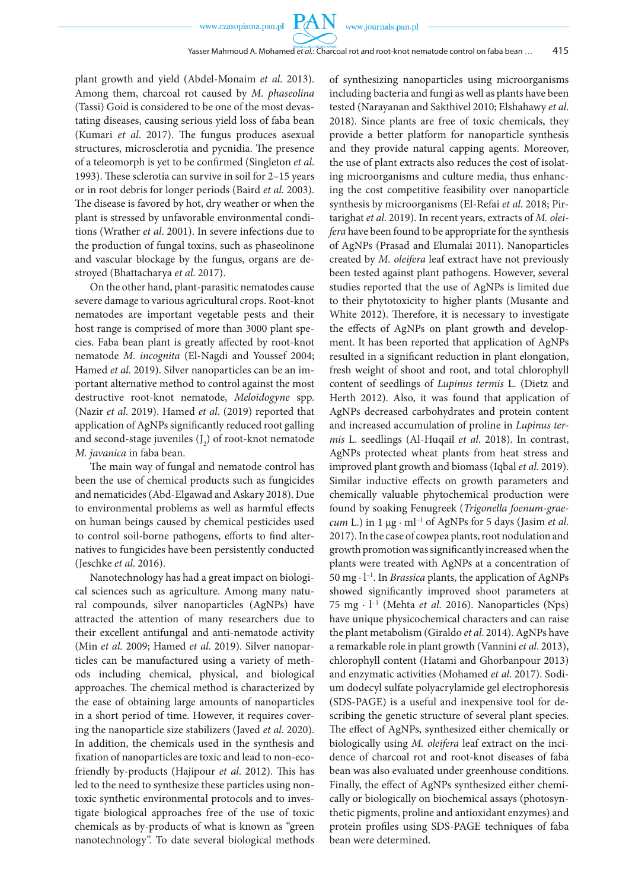**PAN** 

plant growth and yield (Abdel-Monaim *et al*. 2013). Among them, charcoal rot caused by *M. phaseolina* (Tassi) Goid is considered to be one of the most devastating diseases, causing serious yield loss of faba bean (Kumari *et al*. 2017). The fungus produces asexual structures, microsclerotia and pycnidia. The presence of a teleomorph is yet to be confirmed (Singleton *et al*. 1993). These sclerotia can survive in soil for 2–15 years or in root debris for longer periods (Baird *et al*. 2003). The disease is favored by hot, dry weather or when the plant is stressed by unfavorable environmental conditions (Wrather *et al*. 2001). In severe infections due to the production of fungal toxins, such as phaseolinone and vascular blockage by the fungus, organs are destroyed (Bhattacharya *et al*. 2017).

On the other hand, plant-parasitic nematodes cause severe damage to various agricultural crops. Root-knot nematodes are important vegetable pests and their host range is comprised of more than 3000 plant species. Faba bean plant is greatly affected by root-knot nematode *M. incognita* (El-Nagdi and Youssef 2004; Hamed *et al*. 2019). Silver nanoparticles can be an important alternative method to control against the most destructive root-knot nematode, *Meloidogyne* spp. (Nazir *et al*. 2019). Hamed *et al*. (2019) reported that application of AgNPs significantly reduced root galling and second-stage juveniles  $(J_2)$  of root-knot nematode *M. javanica* in faba bean.

The main way of fungal and nematode control has been the use of chemical products such as fungicides and nematicides (Abd-Elgawad and Askary 2018). Due to environmental problems as well as harmful effects on human beings caused by chemical pesticides used to control soil-borne pathogens, efforts to find alternatives to fungicides have been persistently conducted (Jeschke *et al*. 2016).

Nanotechnology has had a great impact on biological sciences such as agriculture. Among many natural compounds, silver nanoparticles (AgNPs) have attracted the attention of many researchers due to their excellent antifungal and anti-nematode activity (Min *et al.* 2009; Hamed *et al*. 2019). Silver nanoparticles can be manufactured using a variety of methods including chemical, physical, and biological approaches. The chemical method is characterized by the ease of obtaining large amounts of nanoparticles in a short period of time. However, it requires covering the nanoparticle size stabilizers (Javed *et al*. 2020). In addition, the chemicals used in the synthesis and fixation of nanoparticles are toxic and lead to non-ecofriendly by-products (Hajipour *et al*. 2012). This has led to the need to synthesize these particles using nontoxic synthetic environmental protocols and to investigate biological approaches free of the use of toxic chemicals as by-products of what is known as "green nanotechnology". To date several biological methods of synthesizing nanoparticles using microorganisms including bacteria and fungi as well as plants have been tested (Narayanan and Sakthivel 2010; Elshahawy *et al*. 2018). Since plants are free of toxic chemicals, they provide a better platform for nanoparticle synthesis and they provide natural capping agents. Moreover, the use of plant extracts also reduces the cost of isolating microorganisms and culture media, thus enhancing the cost competitive feasibility over nanoparticle synthesis by microorganisms (El-Refai *et al*. 2018; Pirtarighat *et al*. 2019). In recent years, extracts of *M. oleifera* have been found to be appropriate for the synthesis of AgNPs (Prasad and Elumalai 2011). Nanoparticles created by *M. oleifera* leaf extract have not previously been tested against plant pathogens. However, several studies reported that the use of AgNPs is limited due to their phytotoxicity to higher plants (Musante and White 2012). Therefore, it is necessary to investigate the effects of AgNPs on plant growth and development. It has been reported that application of AgNPs resulted in a significant reduction in plant elongation, fresh weight of shoot and root, and total chlorophyll content of seedlings of *Lupinus termis* L. (Dietz and Herth 2012). Also, it was found that application of AgNPs decreased carbohydrates and protein content and increased accumulation of proline in *Lupinus termis* L. seedlings (Al-Huqail *et al*. 2018). In contrast, AgNPs protected wheat plants from heat stress and improved plant growth and biomass (Iqbal *et al*. 2019). Similar inductive effects on growth parameters and chemically valuable phytochemical production were found by soaking Fenugreek (*Trigonella foenum-graecum* L.) in 1 μg · ml−1 of AgNPs for 5 days (Jasim *et al*. 2017). In the case of cowpea plants, root nodulation and growth promotion was significantly increased when the plants were treated with AgNPs at a concentration of 50 mg · l−1. In *Brassica* plants, the application of AgNPs showed significantly improved shoot parameters at 75 mg · l−1 (Mehta *et al*. 2016). Nanoparticles (Nps) have unique physicochemical characters and can raise the plant metabolism (Giraldo *et al*. 2014). AgNPs have a remarkable role in plant growth (Vannini *et al*. 2013), chlorophyll content (Hatami and Ghorbanpour 2013) and enzymatic activities (Mohamed *et al*. 2017). Sodium dodecyl sulfate polyacrylamide gel electrophoresis (SDS-PAGE) is a useful and inexpensive tool for describing the genetic structure of several plant species. The effect of AgNPs, synthesized either chemically or biologically using *M. oleifera* leaf extract on the incidence of charcoal rot and root-knot diseases of faba bean was also evaluated under greenhouse conditions. Finally, the effect of AgNPs synthesized either chemically or biologically on biochemical assays (photosynthetic pigments, proline and antioxidant enzymes) and protein profiles using SDS-PAGE techniques of faba bean were determined.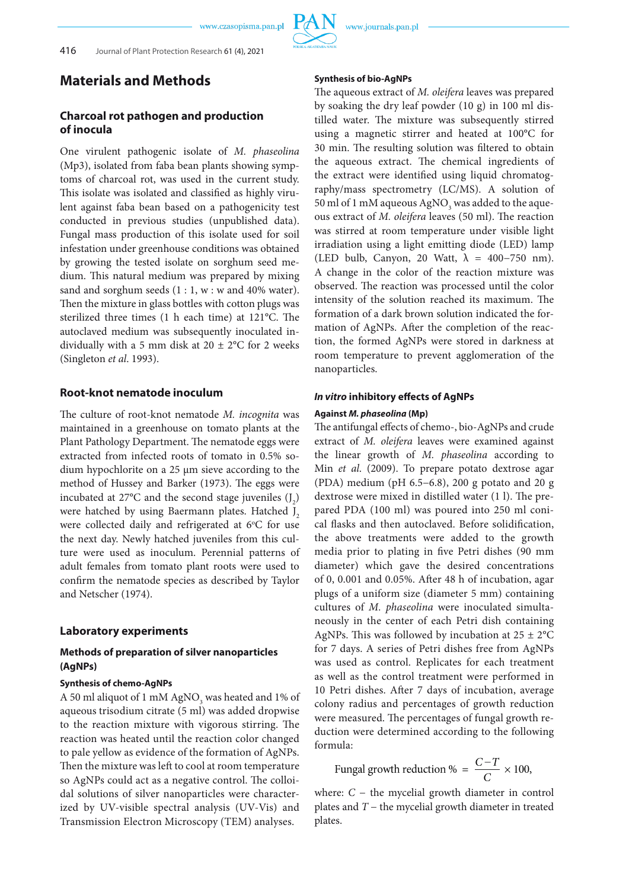# **Materials and Methods**

# **Charcoal rot pathogen and production of inocula**

One virulent pathogenic isolate of *M. phaseolina* (Mp3), isolated from faba bean plants showing symptoms of charcoal rot, was used in the current study. This isolate was isolated and classified as highly virulent against faba bean based on a pathogenicity test conducted in previous studies (unpublished data). Fungal mass production of this isolate used for soil infestation under greenhouse conditions was obtained by growing the tested isolate on sorghum seed medium. This natural medium was prepared by mixing sand and sorghum seeds  $(1:1, w : w$  and 40% water). Then the mixture in glass bottles with cotton plugs was sterilized three times (1 h each time) at 121°C. The autoclaved medium was subsequently inoculated individually with a 5 mm disk at  $20 \pm 2^{\circ}$ C for 2 weeks (Singleton *et al*. 1993).

### **Root-knot nematode inoculum**

The culture of root-knot nematode *M. incognita* was maintained in a greenhouse on tomato plants at the Plant Pathology Department. The nematode eggs were extracted from infected roots of tomato in 0.5% sodium hypochlorite on a 25 µm sieve according to the method of Hussey and Barker (1973). The eggs were incubated at 27 $^{\circ}$ C and the second stage juveniles  $(J_2)$ were hatched by using Baermann plates. Hatched J<sub>2</sub> were collected daily and refrigerated at 6°C for use the next day. Newly hatched juveniles from this culture were used as inoculum. Perennial patterns of adult females from tomato plant roots were used to confirm the nematode species as described by Taylor and Netscher (1974).

#### **Laboratory experiments**

## **Methods of preparation of silver nanoparticles (AgNPs)**

#### **Synthesis of chemo-AgNPs**

A 50 ml aliquot of 1 mM AgNO<sub>3</sub> was heated and 1% of aqueous trisodium citrate (5 ml) was added dropwise to the reaction mixture with vigorous stirring. The reaction was heated until the reaction color changed to pale yellow as evidence of the formation of AgNPs. Then the mixture was left to cool at room temperature so AgNPs could act as a negative control. The colloidal solutions of silver nanoparticles were characterized by UV-visible spectral analysis (UV-Vis) and Transmission Electron Microscopy (TEM) analyses.

#### **Synthesis of bio-AgNPs**

The aqueous extract of *M. oleifera* leaves was prepared by soaking the dry leaf powder (10 g) in 100 ml distilled water. The mixture was subsequently stirred using a magnetic stirrer and heated at 100°C for 30 min. The resulting solution was filtered to obtain the aqueous extract. The chemical ingredients of the extract were identified using liquid chromatography/mass spectrometry (LC/MS). A solution of 50 ml of 1 mM aqueous AgNO<sub>3</sub> was added to the aqueous extract of *M. oleifera* leaves (50 ml). The reaction was stirred at room temperature under visible light irradiation using a light emitting diode (LED) lamp (LED bulb, Canyon, 20 Watt,  $\lambda = 400-750$  nm). A change in the color of the reaction mixture was observed. The reaction was processed until the color intensity of the solution reached its maximum. The formation of a dark brown solution indicated the formation of AgNPs. After the completion of the reaction, the formed AgNPs were stored in darkness at room temperature to prevent agglomeration of the nanoparticles.

#### *In vitro* **inhibitory effects of AgNPs**

#### **Against** *M. phaseolina* **(Mp)**

The antifungal effects of chemo-, bio-AgNPs and crude extract of *M. oleifera* leaves were examined against the linear growth of *M. phaseolina* according to Min *et al*. (2009). To prepare potato dextrose agar (PDA) medium (pH 6.5−6.8), 200 g potato and 20 g dextrose were mixed in distilled water (1 l). The prepared PDA (100 ml) was poured into 250 ml conical flasks and then autoclaved. Before solidification, the above treatments were added to the growth media prior to plating in five Petri dishes (90 mm diameter) which gave the desired concentrations of 0, 0.001 and 0.05%. After 48 h of incubation, agar plugs of a uniform size (diameter 5 mm) containing cultures of *M. phaseolina* were inoculated simultaneously in the center of each Petri dish containing AgNPs. This was followed by incubation at  $25 \pm 2$ °C for 7 days. A series of Petri dishes free from AgNPs was used as control. Replicates for each treatment as well as the control treatment were performed in 10 Petri dishes. After 7 days of incubation, average colony radius and percentages of growth reduction were measured. The percentages of fungal growth reduction were determined according to the following formula:

Fungal growth reduction % =  $\frac{C-T}{C} \times 100$ ,

where:  $C -$  the mycelial growth diameter in control plates and *T* − the mycelial growth diameter in treated plates.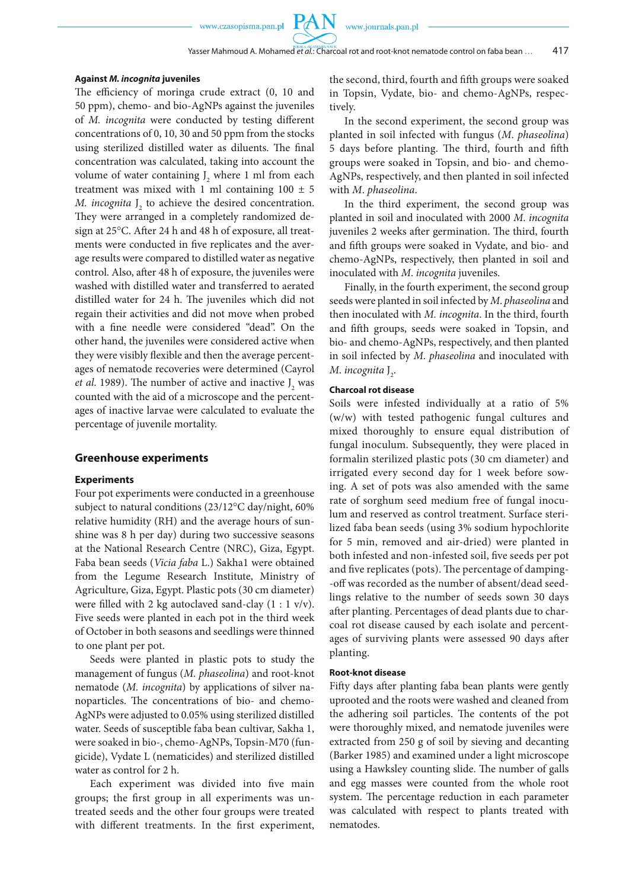**PAN** 

#### **Against** *M. incognita* **juveniles**

The efficiency of moringa crude extract (0, 10 and 50 ppm), chemo- and bio-AgNPs against the juveniles of *M. incognita* were conducted by testing different concentrations of 0, 10, 30 and 50 ppm from the stocks using sterilized distilled water as diluents. The final concentration was calculated, taking into account the volume of water containing  $J_2$  where 1 ml from each treatment was mixed with 1 ml containing  $100 \pm 5$ *M. incognita*  $J_2$  to achieve the desired concentration. They were arranged in a completely randomized design at 25°C. After 24 h and 48 h of exposure, all treatments were conducted in five replicates and the average results were compared to distilled water as negative control. Also, after 48 h of exposure, the juveniles were washed with distilled water and transferred to aerated distilled water for 24 h. The juveniles which did not regain their activities and did not move when probed with a fine needle were considered "dead". On the other hand, the juveniles were considered active when they were visibly flexible and then the average percentages of nematode recoveries were determined (Cayrol *et al.* 1989). The number of active and inactive  $J_2$  was counted with the aid of a microscope and the percentages of inactive larvae were calculated to evaluate the percentage of juvenile mortality.

#### **Greenhouse experiments**

#### **Experiments**

Four pot experiments were conducted in a greenhouse subject to natural conditions (23/12°C day/night, 60% relative humidity (RH) and the average hours of sunshine was 8 h per day) during two successive seasons at the National Research Centre (NRC), Giza, Egypt. Faba bean seeds (*Vicia faba* L.) Sakha1 were obtained from the Legume Research Institute, Ministry of Agriculture, Giza, Egypt. Plastic pots (30 cm diameter) were filled with 2 kg autoclaved sand-clay (1 : 1 v/v). Five seeds were planted in each pot in the third week of October in both seasons and seedlings were thinned to one plant per pot.

Seeds were planted in plastic pots to study the management of fungus (*M. phaseolina*) and root-knot nematode (*M. incognita*) by applications of silver nanoparticles. The concentrations of bio- and chemo-AgNPs were adjusted to 0.05% using sterilized distilled water. Seeds of susceptible faba bean cultivar, Sakha 1, were soaked in bio-, chemo-AgNPs, Topsin-M70 (fungicide), Vydate L (nematicides) and sterilized distilled water as control for 2 h.

Each experiment was divided into five main groups; the first group in all experiments was untreated seeds and the other four groups were treated with different treatments. In the first experiment, the second, third, fourth and fifth groups were soaked in Topsin, Vydate, bio- and chemo-AgNPs, respectively.

In the second experiment, the second group was planted in soil infected with fungus (*M*. *phaseolina*) 5 days before planting. The third, fourth and fifth groups were soaked in Topsin, and bio- and chemo-AgNPs, respectively, and then planted in soil infected with *M*. *phaseolina*.

In the third experiment, the second group was planted in soil and inoculated with 2000 *M*. *incognita* juveniles 2 weeks after germination. The third, fourth and fifth groups were soaked in Vydate, and bio- and chemo-AgNPs, respectively, then planted in soil and inoculated with *M*. *incognita* juveniles.

Finally, in the fourth experiment, the second group seeds were planted in soil infected by *M*. *phaseolina* and then inoculated with *M. incognita*. In the third, fourth and fifth groups, seeds were soaked in Topsin, and bio- and chemo-AgNPs, respectively, and then planted in soil infected by *M*. *phaseolina* and inoculated with *M.* incognita J<sub>2</sub>.

#### **Charcoal rot disease**

Soils were infested individually at a ratio of 5% (w/w) with tested pathogenic fungal cultures and mixed thoroughly to ensure equal distribution of fungal inoculum. Subsequently, they were placed in formalin sterilized plastic pots (30 cm diameter) and irrigated every second day for 1 week before sowing. A set of pots was also amended with the same rate of sorghum seed medium free of fungal inoculum and reserved as control treatment. Surface sterilized faba bean seeds (using 3% sodium hypochlorite for 5 min, removed and air-dried) were planted in both infested and non-infested soil, five seeds per pot and five replicates (pots). The percentage of damping- -off was recorded as the number of absent/dead seedlings relative to the number of seeds sown 30 days after planting. Percentages of dead plants due to charcoal rot disease caused by each isolate and percentages of surviving plants were assessed 90 days after planting.

#### **Root-knot disease**

Fifty days after planting faba bean plants were gently uprooted and the roots were washed and cleaned from the adhering soil particles. The contents of the pot were thoroughly mixed, and nematode juveniles were extracted from 250 g of soil by sieving and decanting (Barker 1985) and examined under a light microscope using a Hawksley counting slide. The number of galls and egg masses were counted from the whole root system. The percentage reduction in each parameter was calculated with respect to plants treated with nematodes.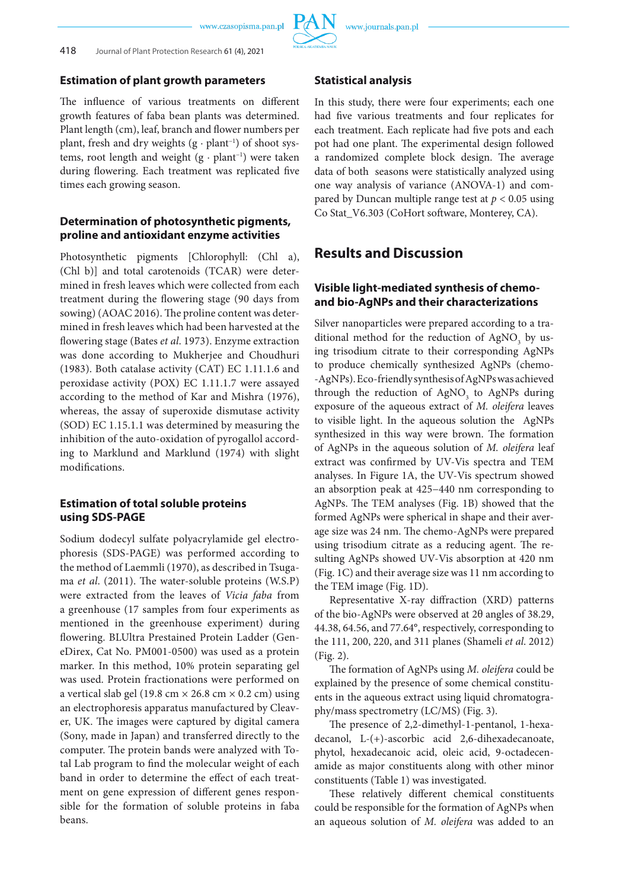

### **Estimation of plant growth parameters**

The influence of various treatments on different growth features of faba bean plants was determined. Plant length (cm), leaf, branch and flower numbers per plant, fresh and dry weights (g · plant<sup>-1</sup>) of shoot systems, root length and weight (g · plant−1) were taken during flowering. Each treatment was replicated five times each growing season.

## **Determination of photosynthetic pigments, proline and antioxidant enzyme activities**

Photosynthetic pigments [Chlorophyll: (Chl a), (Chl b)] and total carotenoids (TCAR) were determined in fresh leaves which were collected from each treatment during the flowering stage (90 days from sowing) (AOAC 2016). The proline content was determined in fresh leaves which had been harvested at the flowering stage (Bates *et al*. 1973). Enzyme extraction was done according to Mukherjee and Choudhuri (1983). Both catalase activity (CAT) EC 1.11.1.6 and peroxidase activity (POX) EC 1.11.1.7 were assayed according to the method of Kar and Mishra (1976), whereas, the assay of superoxide dismutase activity (SOD) EC 1.15.1.1 was determined by measuring the inhibition of the auto-oxidation of pyrogallol according to Marklund and Marklund (1974) with slight modifications.

# **Estimation of total soluble proteins using SDS-PAGE**

Sodium dodecyl sulfate polyacrylamide gel electrophoresis (SDS-PAGE) was performed according to the method of Laemmli (1970), as described in Tsugama *et al*. (2011). The water-soluble proteins (W.S.P) were extracted from the leaves of *Vicia faba* from a greenhouse (17 samples from four experiments as mentioned in the greenhouse experiment) during flowering. BLUltra Prestained Protein Ladder (GeneDirex, Cat No. PM001-0500) was used as a protein marker. In this method, 10% protein separating gel was used. Protein fractionations were performed on a vertical slab gel (19.8 cm  $\times$  26.8 cm  $\times$  0.2 cm) using an electrophoresis apparatus manufactured by Cleaver, UK. The images were captured by digital camera (Sony, made in Japan) and transferred directly to the computer. The protein bands were analyzed with Total Lab program to find the molecular weight of each band in order to determine the effect of each treatment on gene expression of different genes responsible for the formation of soluble proteins in faba beans.

#### **Statistical analysis**

In this study, there were four experiments; each one had five various treatments and four replicates for each treatment. Each replicate had five pots and each pot had one plant. The experimental design followed a randomized complete block design. The average data of both seasons were statistically analyzed using one way analysis of variance (ANOVA-1) and compared by Duncan multiple range test at *p* < 0.05 using Co Stat\_V6.303 (CoHort software, Monterey, CA).

# **Results and Discussion**

# **Visible light-mediated synthesis of chemoand bio-AgNPs and their characterizations**

Silver nanoparticles were prepared according to a traditional method for the reduction of  $AgNO_3$  by using trisodium citrate to their corresponding AgNPs to produce chemically synthesized AgNPs (chemo- -AgNPs). Eco-friendly synthesis of AgNPs was achieved through the reduction of  $AgNO<sub>3</sub>$  to AgNPs during exposure of the aqueous extract of *M. oleifera* leaves to visible light. In the aqueous solution the AgNPs synthesized in this way were brown. The formation of AgNPs in the aqueous solution of *M. oleifera* leaf extract was confirmed by UV-Vis spectra and TEM analyses. In Figure 1A, the UV-Vis spectrum showed an absorption peak at 425−440 nm corresponding to AgNPs. The TEM analyses (Fig. 1B) showed that the formed AgNPs were spherical in shape and their average size was 24 nm. The chemo-AgNPs were prepared using trisodium citrate as a reducing agent. The resulting AgNPs showed UV-Vis absorption at 420 nm (Fig. 1C) and their average size was 11 nm according to the TEM image (Fig. 1D).

Representative X-ray diffraction (XRD) patterns of the bio-AgNPs were observed at 2θ angles of 38.29, 44.38, 64.56, and 77.64°, respectively, corresponding to the 111, 200, 220, and 311 planes (Shameli *et al*. 2012) (Fig. 2).

The formation of AgNPs using *M. oleifera* could be explained by the presence of some chemical constituents in the aqueous extract using liquid chromatography/mass spectrometry (LC/MS) (Fig. 3).

The presence of 2,2-dimethyl-1-pentanol, 1-hexadecanol, L-(+)-ascorbic acid 2,6-dihexadecanoate, phytol, hexadecanoic acid, oleic acid, 9-octadecenamide as major constituents along with other minor constituents (Table 1) was investigated.

These relatively different chemical constituents could be responsible for the formation of AgNPs when an aqueous solution of *M. oleifera* was added to an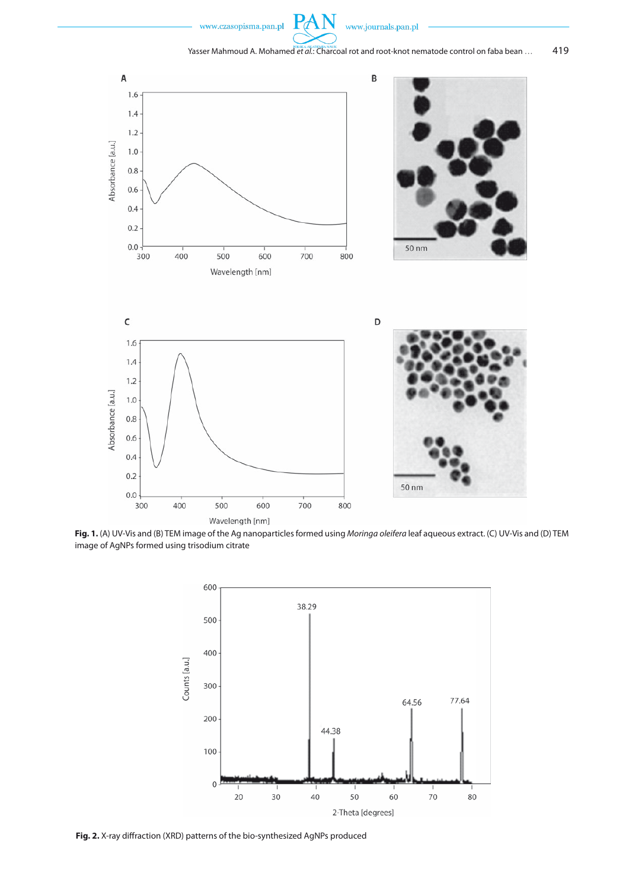







**Fig. 1.** (A) UV-Vis and (B) TEM image of the Ag nanoparticles formed using *Moringa oleifera* leaf aqueous extract. (C) UV-Vis and (D) TEM image of AgNPs formed using trisodium citrate



**Fig. 2.** X-ray diffraction (XRD) patterns of the bio-synthesized AgNPs produced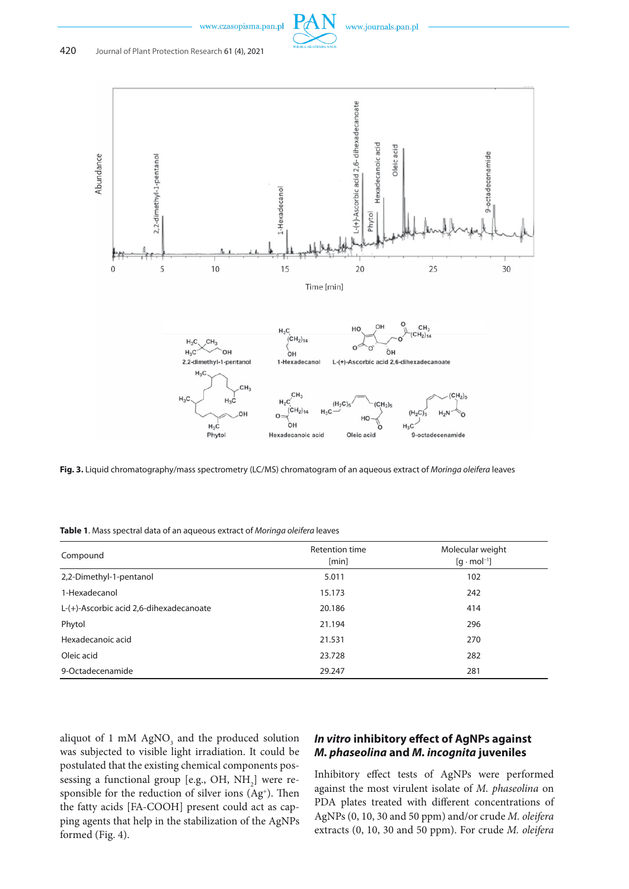

www.journals.pan.pl



**Fig. 3.** Liquid chromatography/mass spectrometry (LC/MS) chromatogram of an aqueous extract of *Moringa oleifera* leaves

**Table 1**. Mass spectral data of an aqueous extract of *Moringa oleifera* leaves

| Compound                                | Retention time<br>[min] | Molecular weight<br>$[q \cdot mol^{-1}]$ |
|-----------------------------------------|-------------------------|------------------------------------------|
| 2,2-Dimethyl-1-pentanol                 | 5.011                   | 102                                      |
| 1-Hexadecanol                           | 15.173                  | 242                                      |
| L-(+)-Ascorbic acid 2,6-dihexadecanoate | 20.186                  | 414                                      |
| Phytol                                  | 21.194                  | 296                                      |
| Hexadecanoic acid                       | 21.531                  | 270                                      |
| Oleic acid                              | 23.728                  | 282                                      |
| 9-Octadecenamide                        | 29.247                  | 281                                      |

aliquot of 1 mM  $AgNO_3$  and the produced solution was subjected to visible light irradiation. It could be postulated that the existing chemical components possessing a functional group [e.g., OH,  $NH<sub>2</sub>$ ] were responsible for the reduction of silver ions (Ag<sup>+</sup>). Then the fatty acids [FA-COOH] present could act as capping agents that help in the stabilization of the AgNPs formed (Fig. 4).

# *In vitro* **inhibitory effect of AgNPs against**  *M. phaseolina* **and** *M. incognita* **juveniles**

Inhibitory effect tests of AgNPs were performed against the most virulent isolate of *M. phaseolina* on PDA plates treated with different concentrations of AgNPs (0, 10, 30 and 50 ppm) and/or crude *M. oleifera* extracts (0, 10, 30 and 50 ppm). For crude *M. oleifera*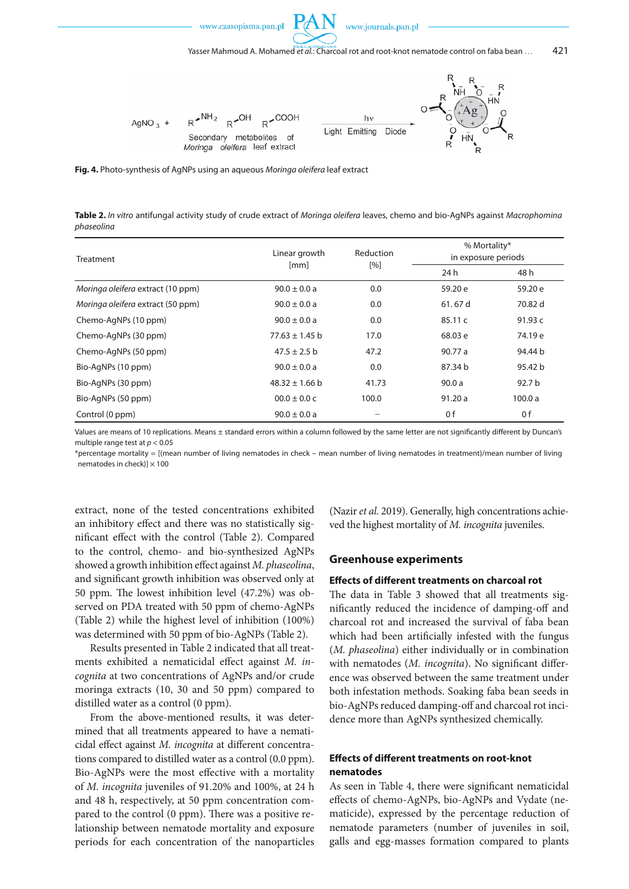





**Fig. 4.** Photo-synthesis of AgNPs using an aqueous *Moringa oleifera* leaf extract

**Table 2.** *In vitro* antifungal activity study of crude extract of *Moringa oleifera* leaves, chemo and bio-AgNPs against *Macrophomina phaseolina*

| Treatment                         | Linear growth      | Reduction | % Mortality*<br>in exposure periods |                   |  |  |
|-----------------------------------|--------------------|-----------|-------------------------------------|-------------------|--|--|
|                                   | [mm]               | [%]       | 24 h                                | 48 h              |  |  |
| Moringa oleifera extract (10 ppm) | $90.0 \pm 0.0 a$   | 0.0       | 59.20 e                             | 59.20 e           |  |  |
| Moringa oleifera extract (50 ppm) | $90.0 \pm 0.0 a$   | 0.0       | 61.67 d                             | 70.82 d           |  |  |
| Chemo-AgNPs (10 ppm)              | $90.0 \pm 0.0 a$   | 0.0       | 85.11c                              | 91.93 $c$         |  |  |
| Chemo-AgNPs (30 ppm)              | $77.63 \pm 1.45$ b | 17.0      | 68.03 e                             | 74.19 e           |  |  |
| Chemo-AgNPs (50 ppm)              | $47.5 \pm 2.5$ b   | 47.2      | 90.77 a                             | 94.44 b           |  |  |
| Bio-AgNPs (10 ppm)                | $90.0 \pm 0.0 a$   | 0.0       | 87.34 b                             | 95.42 b           |  |  |
| Bio-AgNPs (30 ppm)                | $48.32 \pm 1.66$ b | 41.73     | 90.0a                               | 92.7 <sub>b</sub> |  |  |
| Bio-AgNPs (50 ppm)                | $00.0 \pm 0.0 c$   | 100.0     | 91.20a                              | 100.0a            |  |  |
| Control (0 ppm)                   | $90.0 \pm 0.0 a$   |           | 0 f                                 | 0 f               |  |  |

Values are means of 10 replications. Means ± standard errors within a column followed by the same letter are not significantly different by Duncan's multiple range test at *p* < 0.05

\*percentage mortality = [(mean number of living nematodes in check – mean number of living nematodes in treatment)/mean number of living nematodes in check) $] \times 100$ 

extract, none of the tested concentrations exhibited an inhibitory effect and there was no statistically significant effect with the control (Table 2). Compared to the control, chemo- and bio-synthesized AgNPs showed a growth inhibition effect against *M. phaseolina*, and significant growth inhibition was observed only at 50 ppm. The lowest inhibition level (47.2%) was observed on PDA treated with 50 ppm of chemo-AgNPs (Table 2) while the highest level of inhibition (100%) was determined with 50 ppm of bio-AgNPs (Table 2).

Results presented in Table 2 indicated that all treatments exhibited a nematicidal effect against *M. incognita* at two concentrations of AgNPs and/or crude moringa extracts (10, 30 and 50 ppm) compared to distilled water as a control (0 ppm).

From the above-mentioned results, it was determined that all treatments appeared to have a nematicidal effect against *M. incognita* at different concentrations compared to distilled water as a control (0.0 ppm). Bio-AgNPs were the most effective with a mortality of *M. incognita* juveniles of 91.20% and 100%, at 24 h and 48 h, respectively, at 50 ppm concentration compared to the control (0 ppm). There was a positive relationship between nematode mortality and exposure periods for each concentration of the nanoparticles (Nazir *et al.* 2019). Generally, high concentrations achieved the highest mortality of *M. incognita* juveniles.

#### **Greenhouse experiments**

#### **Effects of different treatments on charcoal rot**

The data in Table 3 showed that all treatments significantly reduced the incidence of damping-off and charcoal rot and increased the survival of faba bean which had been artificially infested with the fungus (*M. phaseolina*) either individually or in combination with nematodes (*M. incognita*). No significant difference was observed between the same treatment under both infestation methods. Soaking faba bean seeds in bio-AgNPs reduced damping-off and charcoal rot incidence more than AgNPs synthesized chemically.

### **Effects of different treatments on root-knot nematodes**

As seen in Table 4, there were significant nematicidal effects of chemo-AgNPs, bio-AgNPs and Vydate (nematicide), expressed by the percentage reduction of nematode parameters (number of juveniles in soil, galls and egg-masses formation compared to plants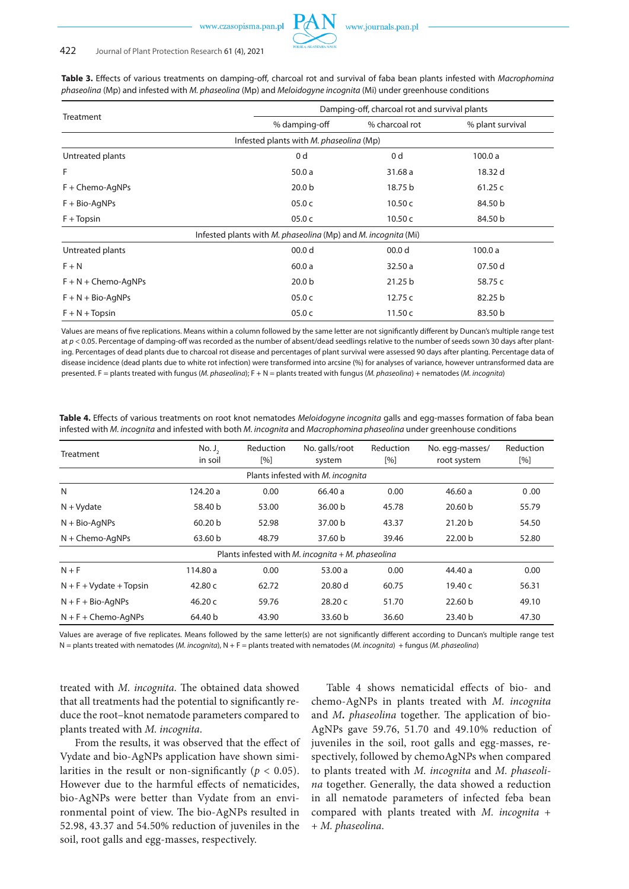#### 422 Journal of Plant Protection Research 61 (4), 2021

|                         |                                                               | Damping-off, charcoal rot and survival plants |                  |  |  |  |  |  |  |  |
|-------------------------|---------------------------------------------------------------|-----------------------------------------------|------------------|--|--|--|--|--|--|--|
| Treatment               | % damping-off                                                 | % charcoal rot                                | % plant survival |  |  |  |  |  |  |  |
|                         | Infested plants with M. phaseolina (Mp)                       |                                               |                  |  |  |  |  |  |  |  |
| Untreated plants        | 0 <sub>d</sub>                                                | 0 <sub>d</sub>                                | 100.0a           |  |  |  |  |  |  |  |
| F                       | 50.0a                                                         | 31.68 a                                       | 18.32 d          |  |  |  |  |  |  |  |
| $F +$ Chemo-AgNPs       | 20.0 <sub>b</sub>                                             | 18.75 b                                       | 61.25c           |  |  |  |  |  |  |  |
| $F + Bio-AqNPs$         | 05.0c                                                         | 10.50 $<$                                     | 84.50 b          |  |  |  |  |  |  |  |
| $F + Topsin$            | 05.0c                                                         | 10.50 $<$                                     | 84.50 b          |  |  |  |  |  |  |  |
|                         | Infested plants with M. phaseolina (Mp) and M. incognita (Mi) |                                               |                  |  |  |  |  |  |  |  |
| Untreated plants        | 00.0 <sub>d</sub>                                             | 00.0 <sub>d</sub>                             | 100.0a           |  |  |  |  |  |  |  |
| $F + N$                 | 60.0a                                                         | 32.50a                                        | 07.50 d          |  |  |  |  |  |  |  |
| $F + N +$ Chemo-AqNPs   | 20.0 <sub>b</sub>                                             | 21.25 b                                       | 58.75 c          |  |  |  |  |  |  |  |
| $F + N + Bio-AqNPs$     | 05.0c                                                         | 12.75c                                        | 82.25 b          |  |  |  |  |  |  |  |
| $F + N + \text{Topsin}$ | 05.0c                                                         | 11.50c                                        | 83.50 b          |  |  |  |  |  |  |  |

**Table 3.** Effects of various treatments on damping-off, charcoal rot and survival of faba bean plants infested with *Macrophomina phaseolina* (Mp) and infested with *M. phaseolina* (Mp) and *Meloidogyne incognita* (Mi) under greenhouse conditions

Values are means of five replications. Means within a column followed by the same letter are not significantly different by Duncan's multiple range test at *p* < 0.05. Percentage of damping-off was recorded as the number of absent/dead seedlings relative to the number of seeds sown 30 days after planting. Percentages of dead plants due to charcoal rot disease and percentages of plant survival were assessed 90 days after planting. Percentage data of disease incidence (dead plants due to white rot infection) were transformed into arcsine (%) for analyses of variance, however untransformed data are presented. F = plants treated with fungus (*M. phaseolina*); F + N = plants treated with fungus (*M. phaseolina*) + nematodes (*M. incognita*)

**Table 4.** Effects of various treatments on root knot nematodes *Meloidogyne incognita* galls and egg-masses formation of faba bean infested with *M. incognita* and infested with both *M. incognita* and *Macrophomina phaseolina* under greenhouse conditions

| Treatment                         | No. J <sub>2</sub><br>in soil | Reduction<br>[%] | No. galls/root<br>system                            | Reduction<br>[%] | No. egg-masses/<br>root system | Reduction<br>[%] |  |  |
|-----------------------------------|-------------------------------|------------------|-----------------------------------------------------|------------------|--------------------------------|------------------|--|--|
| Plants infested with M. incognita |                               |                  |                                                     |                  |                                |                  |  |  |
| N                                 | 124.20 a                      | 0.00             | 66.40 a                                             | 0.00             | 46.60a                         | 0.00             |  |  |
| $N + Vydate$                      | 58.40 b                       | 53.00            | 36.00 <sub>b</sub>                                  | 45.78            | 20.60 b                        | 55.79            |  |  |
| $N + Bio-AqNPs$                   | 60.20 b<br>52.98              |                  |                                                     | 43.37            | 21.20 b                        | 54.50            |  |  |
| $N +$ Chemo-AqNPs                 | 63.60 b                       | 48.79            | 37.60 b                                             | 39.46            | 22.00 b                        | 52.80            |  |  |
|                                   |                               |                  | Plants infested with M. incognita $+$ M. phaseolina |                  |                                |                  |  |  |
| $N + F$                           | 114.80 a                      | 0.00             | 53.00 a                                             | 0.00             | 44.40 a                        | 0.00             |  |  |
| $N + F + Vydate + Topsin$         | 42.80 c                       | 62.72            | 20.80 d                                             | 60.75            | 19.40 c                        | 56.31            |  |  |
| $N + F + Bio-AqNPs$               | 46.20 $c$<br>59.76            |                  | 28.20c                                              | 51.70            | 22.60 <sub>b</sub>             | 49.10            |  |  |
| $N + F +$ Chemo-AgNPs             | 64.40 b<br>43.90              |                  |                                                     | 36.60            | 23.40 b                        | 47.30            |  |  |

Values are average of five replicates. Means followed by the same letter(s) are not significantly different according to Duncan's multiple range test N = plants treated with nematodes (*M. incognita*), N + F = plants treated with nematodes (*M. incognita*) + fungus (*M. phaseolina*)

treated with *M. incognita*. The obtained data showed that all treatments had the potential to significantly reduce the root–knot nematode parameters compared to plants treated with *M. incognita*.

From the results, it was observed that the effect of Vydate and bio-AgNPs application have shown similarities in the result or non-significantly ( $p < 0.05$ ). However due to the harmful effects of nematicides, bio-AgNPs were better than Vydate from an environmental point of view. The bio-AgNPs resulted in 52.98, 43.37 and 54.50% reduction of juveniles in the soil, root galls and egg-masses, respectively.

Table 4 shows nematicidal effects of bio- and chemo-AgNPs in plants treated with *M. incognita* and *M. phaseolina* together. The application of bio-AgNPs gave 59.76, 51.70 and 49.10% reduction of juveniles in the soil, root galls and egg-masses, respectively, followed by chemoAgNPs when compared to plants treated with *M. incognita* and *M. phaseolina* together. Generally, the data showed a reduction in all nematode parameters of infected feba bean compared with plants treated with *M. incognita* + + *M. phaseolina*.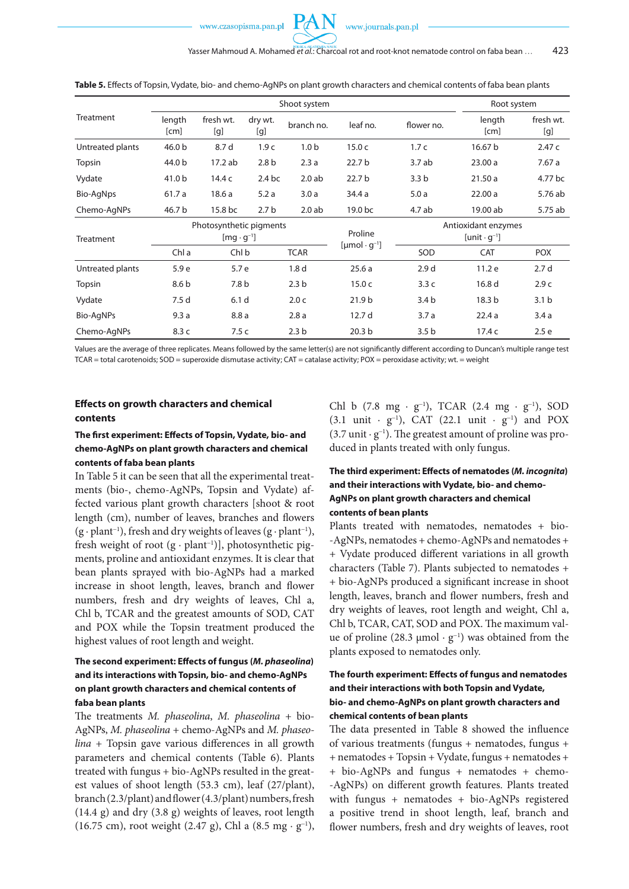|                  |                   |                                                | Root system      |                  |                                  |                  |                                              |                  |  |  |
|------------------|-------------------|------------------------------------------------|------------------|------------------|----------------------------------|------------------|----------------------------------------------|------------------|--|--|
| Treatment        | length<br>[cm]    | fresh wt.<br>[g]                               | dry wt.<br>[g]   | branch no.       | leaf no.                         | flower no.       | length<br>[cm]                               | fresh wt.<br>[g] |  |  |
| Untreated plants | 46.0 <sub>b</sub> | 8.7 d                                          | 1.9 <sub>c</sub> | 1.0 <sub>b</sub> | 15.0 <sub>c</sub>                | 1.7c             | 16.67 b                                      | 2.47c            |  |  |
| Topsin           | 44.0 b            | 17.2 ab                                        | 2.8 <sub>b</sub> | 2.3a             | 22.7 <sub>b</sub>                | 3.7ab            | 23.00a                                       | 7.67a            |  |  |
| Vydate           | 41.0 b            | 14.4 c                                         | $2.4$ bc         | 2.0ab            | 22.7 b                           | 3.3 <sub>b</sub> | 21.50a                                       | 4.77 bc          |  |  |
| Bio-AgNps        | 61.7a             | 18.6a                                          | 5.2a             | 3.0a             | 34.4 a                           | 5.0a             | 22.00a                                       | 5.76 ab          |  |  |
| Chemo-AgNPs      | 46.7 b            | 2.7 <sub>b</sub><br>15.8 bc                    |                  | 2.0ab            | 19.0 bc                          | 4.7 ab           | 19.00 ab                                     | 5.75 ab          |  |  |
| Treatment        |                   | Photosynthetic pigments<br>$[mq \cdot q^{-1}]$ |                  |                  | Proline                          |                  | Antioxidant enzymes<br>$[unit \cdot q^{-1}]$ |                  |  |  |
|                  | Chl a             | Chl b                                          |                  | <b>TCAR</b>      | $[{\mu}$ mol · g <sup>-1</sup> ] | SOD              | <b>CAT</b>                                   | <b>POX</b>       |  |  |
| Untreated plants | 5.9 e             | 5.7 e                                          |                  | 1.8 <sub>d</sub> | 25.6a                            | 2.9 <sub>d</sub> | 11.2 e                                       | 2.7 <sub>d</sub> |  |  |
| Topsin           | 8.6 b             | 7.8 <sub>b</sub>                               |                  | 2.3 <sub>b</sub> | 15.0 <sub>c</sub>                | 3.3c             | 16.8 d                                       | 2.9c             |  |  |
| Vydate           | 7.5 d             | 6.1 <sub>d</sub>                               |                  | 2.0 <sub>c</sub> | 21.9 <sub>b</sub>                | 3.4 <sub>b</sub> | 18.3 <sub>b</sub>                            | 3.1 <sub>b</sub> |  |  |
| Bio-AgNPs        | 9.3a              | 8.8a                                           |                  | 2.8a             | 12.7 <sub>d</sub>                | 3.7a             | 22.4a                                        | 3.4a             |  |  |
| Chemo-AqNPs      | 8.3c              | 7.5 c                                          |                  | 2.3 <sub>b</sub> | 20.3 <sub>b</sub>                | 3.5 <sub>b</sub> | 17.4c                                        | 2.5e             |  |  |

**Table 5.** Effects of Topsin, Vydate, bio- and chemo-AgNPs on plant growth characters and chemical contents of faba bean plants

Values are the average of three replicates. Means followed by the same letter(s) are not significantly different according to Duncan's multiple range test TCAR = total carotenoids; SOD = superoxide dismutase activity; CAT = catalase activity; POX = peroxidase activity; wt. = weight

#### **Effects on growth characters and chemical contents**

### **The first experiment: Effects of Topsin, Vydate, bio- and chemo-AgNPs on plant growth characters and chemical contents of faba bean plants**

In Table 5 it can be seen that all the experimental treatments (bio-, chemo-AgNPs, Topsin and Vydate) affected various plant growth characters [shoot & root length (cm), number of leaves, branches and flowers (g · plant−1), fresh and dry weights of leaves (g · plant−1), fresh weight of root (g · plant−1)], photosynthetic pigments, proline and antioxidant enzymes. It is clear that bean plants sprayed with bio-AgNPs had a marked increase in shoot length, leaves, branch and flower numbers, fresh and dry weights of leaves, Chl a, Chl b, TCAR and the greatest amounts of SOD, CAT and POX while the Topsin treatment produced the highest values of root length and weight.

## **The second experiment: Effects of fungus (***M. phaseolina***) and its interactions with Topsin, bio- and chemo-AgNPs on plant growth characters and chemical contents of faba bean plants**

The treatments *M. phaseolina*, *M. phaseolina* + bio-AgNPs, *M. phaseolina* + chemo-AgNPs and *M. phaseolina +* Topsin gave various differences in all growth parameters and chemical contents (Table 6). Plants treated with fungus + bio-AgNPs resulted in the greatest values of shoot length (53.3 cm), leaf (27/plant), branch (2.3/plant) and flower (4.3/plant) numbers, fresh (14.4 g) and dry (3.8 g) weights of leaves, root length (16.75 cm), root weight (2.47 g), Chl a (8.5 mg · g<sup>−</sup><sup>1</sup> ),

Chl b (7.8 mg · g<sup>−</sup><sup>1</sup> ), TCAR (2.4 mg · g<sup>−</sup><sup>1</sup> ), SOD (3.1 unit · g<sup>−</sup><sup>1</sup> ), CAT (22.1 unit · g<sup>−</sup><sup>1</sup> ) and POX (3.7 unit · g<sup>−</sup><sup>1</sup> ). The greatest amount of proline was produced in plants treated with only fungus.

# **The third experiment: Effects of nematodes (***M. incognita***) and their interactions with Vydate, bio- and chemo-AgNPs on plant growth characters and chemical contents of bean plants**

Plants treated with nematodes, nematodes + bio- -AgNPs, nematodes + chemo-AgNPs and nematodes + + Vydate produced different variations in all growth characters (Table 7). Plants subjected to nematodes + + bio-AgNPs produced a significant increase in shoot length, leaves, branch and flower numbers, fresh and dry weights of leaves, root length and weight, Chl a, Chl b, TCAR, CAT, SOD and POX. The maximum value of proline (28.3 µmol · g−1) was obtained from the plants exposed to nematodes only.

# **The fourth experiment: Effects of fungus and nematodes and their interactions with both Topsin and Vydate, bio- and chemo-AgNPs on plant growth characters and chemical contents of bean plants**

The data presented in Table 8 showed the influence of various treatments (fungus + nematodes, fungus + + nematodes + Topsin + Vydate, fungus + nematodes + + bio-AgNPs and fungus + nematodes + chemo- -AgNPs) on different growth features. Plants treated with fungus + nematodes + bio-AgNPs registered a positive trend in shoot length, leaf, branch and flower numbers, fresh and dry weights of leaves, root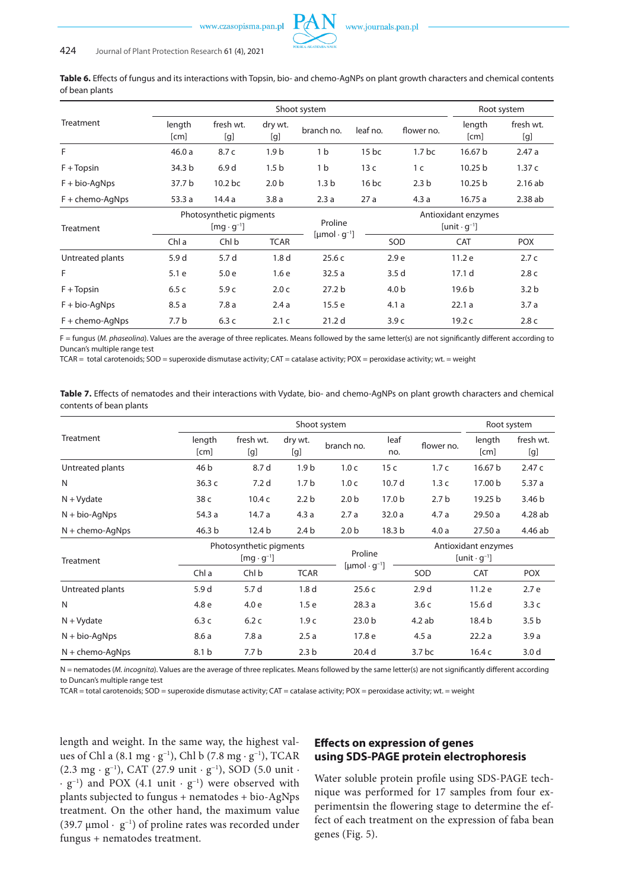**Table 6.** Effects of fungus and its interactions with Topsin, bio- and chemo-AgNPs on plant growth characters and chemical contents of bean plants

|                     |                                                |                                                  | Root system      |                                        |          |                                                        |                   |                  |
|---------------------|------------------------------------------------|--------------------------------------------------|------------------|----------------------------------------|----------|--------------------------------------------------------|-------------------|------------------|
| Treatment           | length<br>[cm]                                 | fresh wt.<br>dry wt.<br>branch no.<br>[g]<br>[g] |                  |                                        | leaf no. | flower no.                                             | length<br>[cm]    | fresh wt.<br>[g] |
| F                   | 46.0a                                          | 8.7 c                                            | 1.9 <sub>b</sub> | 1 <sub>b</sub>                         | $15$ bc  | 1.7 <sub>bc</sub>                                      | 16.67 b           | 2.47a            |
| $F + Topsin$        | 34.3 b                                         | 6.9d                                             | 1.5 <sub>b</sub> | 1 <sub>b</sub>                         | 13c      | 1 <sup>c</sup>                                         | 10.25 b           | 1.37c            |
| $F + bio-AqNps$     | 37.7 b                                         | 10.2 <sub>bc</sub>                               | 2.0 <sub>b</sub> | 1.3 <sub>b</sub>                       | $16$ bc  | 2.3 <sub>b</sub>                                       | 10.25 b           | 2.16ab           |
| $F +$ chemo-AgNps   | 53.3a                                          | 14.4 a                                           | 3.8a             | 2.3a                                   | 27a      | 4.3a                                                   | 16.75a            | 2.38ab           |
| Treatment           | Photosynthetic pigments<br>$[mg \cdot g^{-1}]$ |                                                  |                  | Proline                                |          | Antioxidant enzymes<br>[unit $\cdot$ q <sup>-1</sup> ] |                   |                  |
|                     | Chl a                                          | Chl b                                            | <b>TCAR</b>      | $[{\mu}$ mol $\cdot$ g <sup>-1</sup> ] |          | SOD                                                    | <b>CAT</b>        |                  |
| Untreated plants    | 5.9 d                                          | 5.7 d                                            | 1.8 <sub>d</sub> | 25.6c                                  |          | 2.9 <sub>e</sub>                                       | 11.2 e            | 2.7c             |
| F                   | 5.1e                                           | 5.0e                                             | 1.6e             | 32.5a                                  |          | 3.5d                                                   | 17.1 <sub>d</sub> | 2.8 <sub>c</sub> |
| $F + \text{Topsin}$ | 6.5c                                           | 5.9 <sub>c</sub>                                 | 2.0 <sub>c</sub> | 27.2 <sub>b</sub>                      |          | 4.0 <sub>b</sub>                                       | 19.6 <sub>b</sub> | 3.2 <sub>b</sub> |
| $F + bio-AqNps$     | 8.5a                                           | 7.8a                                             | 2.4a             | 15.5e                                  |          | 4.1a                                                   | 22.1a             | 3.7a             |
| $F +$ chemo-AqNps   | 7.7 <sub>b</sub>                               | 6.3c                                             | 2.1c             | 21.2 <sub>d</sub>                      |          | 3.9c                                                   | 19.2 <sub>c</sub> | 2.8 <sub>c</sub> |

F = fungus (*M. phaseolina*). Values are the average of three replicates. Means followed by the same letter(s) are not significantly different according to Duncan's multiple range test

TCAR = total carotenoids; SOD = superoxide dismutase activity; CAT = catalase activity; POX = peroxidase activity; wt. = weight

**Table 7.** Effects of nematodes and their interactions with Vydate, bio- and chemo-AgNPs on plant growth characters and chemical contents of bean plants

|                   |                |                                                | Root system      |                                  |                   |                                              |                |                  |  |
|-------------------|----------------|------------------------------------------------|------------------|----------------------------------|-------------------|----------------------------------------------|----------------|------------------|--|
| Treatment         | length<br>[cm] | fresh wt.<br>[g]                               | dry wt.<br>[g]   | branch no.                       | leaf<br>no.       | flower no.                                   | length<br>[cm] | fresh wt.<br>[g] |  |
| Untreated plants  | 46 b           | 8.7 d                                          | 1.9 <sub>b</sub> | 1.0 <sub>c</sub>                 | 15 <sub>c</sub>   | 1.7c                                         | 16.67 b        | 2.47 c           |  |
| N                 | 36.3c          | 7.2 <sub>d</sub>                               | 1.7 <sub>b</sub> | 1.0 <sub>c</sub>                 | 10.7 d            | 1.3c                                         | 17.00 b        | 5.37a            |  |
| $N + Vydate$      | 38 c           | 10.4 <sub>c</sub>                              | 2.2 <sub>b</sub> | 2.0 <sub>b</sub>                 | 17.0 <sub>b</sub> | 2.7 <sub>b</sub>                             | 19.25 b        | 3.46 b           |  |
| $N + bio-AqNps$   | 54.3 a         | 14.7a                                          | 4.3a             | 2.7a                             | 32.0a             | 4.7a                                         | 29.50 a        | 4.28 ab          |  |
| $N +$ chemo-AgNps | 46.3 b         | 12.4 b                                         | 2.4 <sub>b</sub> | 2.0 <sub>b</sub>                 | 18.3 b            | 4.0a                                         | 27.50a         | 4.46 ab          |  |
| Treatment         |                | Photosynthetic pigments<br>$[mq \cdot q^{-1}]$ |                  | Proline                          |                   | Antioxidant enzymes<br>$[unit \cdot g^{-1}]$ |                |                  |  |
|                   | Chl a          | Chl b                                          | <b>TCAR</b>      | $[{\mu}$ mol · g <sup>-1</sup> ] |                   | SOD                                          | <b>CAT</b>     | <b>POX</b>       |  |
| Untreated plants  | 5.9 d          | 5.7 d                                          | 1.8 <sub>d</sub> | 25.6c                            |                   | 2.9 <sub>d</sub>                             | 11.2 e         | 2.7 e            |  |
| N                 | 4.8 e          | 4.0e                                           | 1.5 <sub>e</sub> | 28.3a                            |                   | 3.6c                                         | 15.6 d         | 3.3c             |  |
| $N + Vydate$      | 6.3c           | 6.2c                                           | 1.9 <sub>c</sub> | 23.0 <sub>b</sub>                |                   | 4.2ab                                        | 18.4 b         | 3.5 <sub>b</sub> |  |
| $N + bio-AqNps$   | 8.6a           | 7.8a                                           | 2.5a             | 17.8 e                           |                   | 4.5a                                         | 22.2a          | 3.9a             |  |
| $N +$ chemo-AqNps | 8.1 b          | 7.7 b                                          | 2.3 <sub>b</sub> | 20.4 d                           |                   | 3.7 <sub>bc</sub>                            | 16.4 c         | 3.0 <sub>d</sub> |  |

N = nematodes (*M. incognita*). Values are the average of three replicates. Means followed by the same letter(s) are not significantly different according to Duncan's multiple range test

TCAR = total carotenoids; SOD = superoxide dismutase activity; CAT = catalase activity; POX = peroxidase activity; wt. = weight

length and weight. In the same way, the highest values of Chl a (8.1 mg · g−1), Chl b (7.8 mg · g−1), TCAR (2.3 mg · g<sup>-1</sup>), CAT (27.9 unit · g<sup>-1</sup>), SOD (5.0 unit · · g−1) and POX (4.1 unit · g−1) were observed with plants subjected to fungus + nematodes + bio-AgNps treatment. On the other hand, the maximum value (39.7 µmol · g−1) of proline rates was recorded under fungus + nematodes treatment.

# **Effects on expression of genes using SDS-PAGE protein electrophoresis**

Water soluble protein profile using SDS-PAGE technique was performed for 17 samples from four experimentsin the flowering stage to determine the effect of each treatment on the expression of faba bean genes (Fig. 5).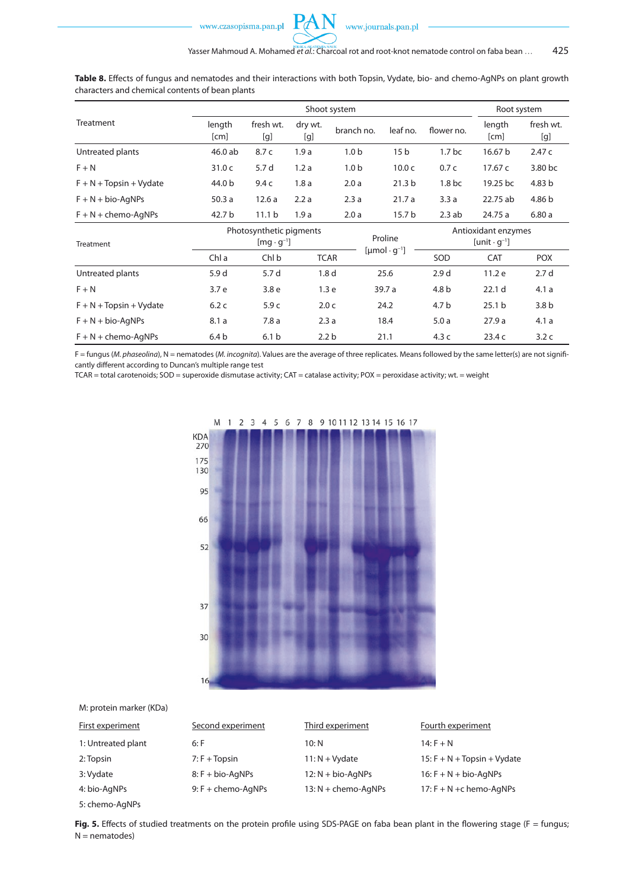

**Table 8.** Effects of fungus and nematodes and their interactions with both Topsin, Vydate, bio- and chemo-AgNPs on plant growth characters and chemical contents of bean plants

 $\mathbf{P} \mathcal{A}$ 

|                                         |                                             |                                                | Shoot system     |                  |                                        |                                                        | Root system       |                  |  |
|-----------------------------------------|---------------------------------------------|------------------------------------------------|------------------|------------------|----------------------------------------|--------------------------------------------------------|-------------------|------------------|--|
| Treatment                               | length<br>[cm]                              | fresh wt.<br>[g]                               | dry wt.<br>[g]   | branch no.       | leaf no.                               | flower no.                                             | length<br>[cm]    | fresh wt.<br>[g] |  |
| Untreated plants                        | 46.0 ab                                     | 8.7c                                           | 1.9a             |                  | 15 <sub>b</sub>                        | 1.7 <sub>bc</sub>                                      | 16.67 b           | 2.47c            |  |
| $F + N$                                 | 31.0 <sub>c</sub>                           | 5.7 d                                          | 1.2a             | 1.0 <sub>b</sub> | 10.0 <sub>c</sub>                      | 0.7c                                                   | 17.67 c           | 3.80 bc          |  |
| $F + N + \text{Topsin} + \text{Vydate}$ | 44.0 b                                      | 9.4c                                           | 1.8a             | 2.0a             | 21.3 <sub>b</sub>                      | 1.8 <sub>bc</sub>                                      | 19.25 bc          | 4.83 b           |  |
| $F + N + bio-AqNPs$                     | 50.3a                                       | 12.6a                                          | 2.2a             | 2.3a             | 21.7a                                  | 3.3a                                                   | 22.75 ab          | 4.86 b           |  |
| $F + N +$ chemo-AqNPs                   | 42.7 b<br>11.1 <sub>b</sub><br>1.9a<br>2.0a |                                                |                  | 15.7 b           | 2.3ab                                  | 24.75 a                                                | 6.80a             |                  |  |
| Treatment                               |                                             | Photosynthetic pigments<br>$[mq \cdot q^{-1}]$ |                  |                  | Proline                                | Antioxidant enzymes<br>[unit $\cdot$ q <sup>-1</sup> ] |                   |                  |  |
|                                         | Chl a                                       | Chl b                                          | <b>TCAR</b>      |                  | $[{\mu}$ mol $\cdot$ q <sup>-1</sup> ] | SOD                                                    | <b>CAT</b>        | <b>POX</b>       |  |
| Untreated plants                        | 5.9 d                                       | 5.7 d                                          | 1.8 <sub>d</sub> |                  | 25.6                                   | 2.9 <sub>d</sub>                                       | 11.2 e            | 2.7 <sub>d</sub> |  |
| $F + N$                                 | 3.7 e                                       | 3.8 <sub>e</sub>                               | 1.3 <sub>e</sub> |                  | 39.7 a                                 | 4.8 b                                                  | 22.1 <sub>d</sub> | 4.1a             |  |
| $F + N + \text{Topsin} + \text{Vydate}$ | 6.2c                                        | 5.9 <sub>c</sub>                               | 2.0 <sub>c</sub> |                  | 24.2                                   | 4.7 <sub>b</sub>                                       | 25.1 <sub>b</sub> | 3.8 <sub>b</sub> |  |
| $F + N + bio-AqNPs$                     | 8.1a                                        | 7.8a                                           | 2.3a             |                  | 18.4                                   | 5.0a                                                   | 27.9a             | 4.1a             |  |
| $F + N +$ chemo-AqNPs                   | 6.4 <sub>b</sub>                            | 6.1 <sub>b</sub>                               | 2.2 <sub>b</sub> |                  | 4.3c<br>21.1                           |                                                        | 23.4 c            | 3.2c             |  |

F = fungus (*M. phaseolina*), N = nematodes (*M. incognita*). Values are the average of three replicates. Means followed by the same letter(s) are not significantly different according to Duncan's multiple range test

TCAR = total carotenoids; SOD = superoxide dismutase activity; CAT = catalase activity; POX = peroxidase activity; wt. = weight



M 5  $\overline{8}$ 9 10 11 12 13 14 15 16 17  $\overline{\mathbf{3}}$  $\overline{4}$ 6  $\overline{7}$  $\overline{1}$  $\overline{z}$ 

M: protein marker (KDa)

| First experiment   | Second experiment      | Third experiment      | Fourth experiment                           |
|--------------------|------------------------|-----------------------|---------------------------------------------|
| 1: Untreated plant | $6:$ F                 | 10: N                 | $14: F + N$                                 |
| 2: Topsin          | $7: F + \text{Topsin}$ | $11: N + Vydate$      | $15: F + N + \text{Topsin} + \text{Vydate}$ |
| 3: Vydate          | $8:$ F + bio-AgNPs     | $12: N + bio-AqNPs$   | $16: F + N + bio-AqNPs$                     |
| 4: bio-AgNPs       | $9: F +$ chemo-AqNPs   | $13: N +$ chemo-AqNPs | $17: F + N + c$ hemo-AgNPs                  |
| 5: chemo-AgNPs     |                        |                       |                                             |

Fig. 5. Effects of studied treatments on the protein profile using SDS-PAGE on faba bean plant in the flowering stage (F = fungus;  $N =$  nematodes)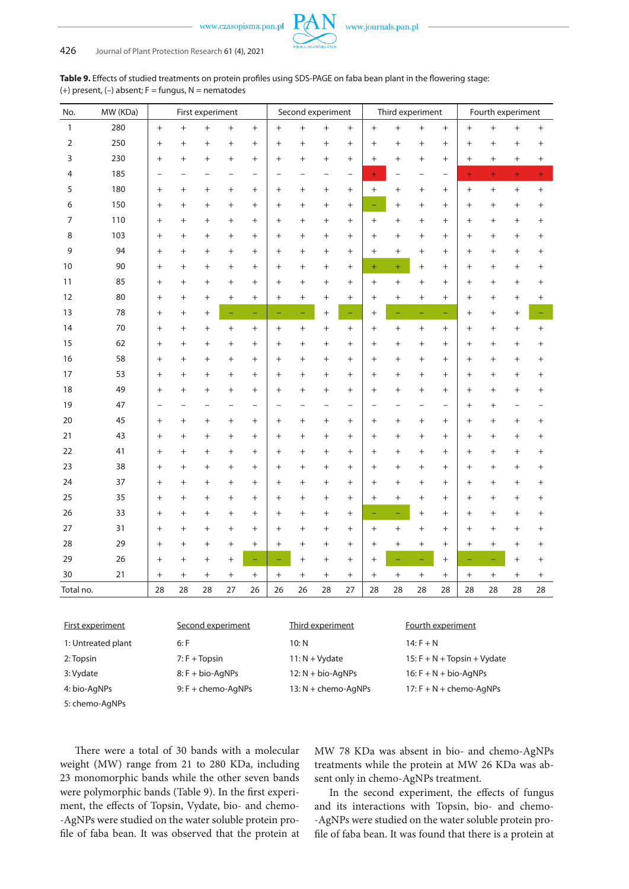www.journals.pan.pl

| <b>Table 9.</b> Effects of studied treatments on protein profiles using SDS-PAGE on faba bean plant in the flowering stage: |  |
|-----------------------------------------------------------------------------------------------------------------------------|--|
| (+) present, (-) absent; F = fungus, N = nematodes                                                                          |  |

| No.          | MW (KDa)           |                    | First experiment       |                   |        |                          | Second experiment |                     |                                  | Third experiment                 |                             |                                  |                         | Fourth experiment                |           |                                  |                                  |        |
|--------------|--------------------|--------------------|------------------------|-------------------|--------|--------------------------|-------------------|---------------------|----------------------------------|----------------------------------|-----------------------------|----------------------------------|-------------------------|----------------------------------|-----------|----------------------------------|----------------------------------|--------|
| $\mathbf{1}$ | 280                | $+$                | $^{+}$                 | $^{+}$            | $^{+}$ | $+$                      | $+$               | $+$                 | $^{+}$                           | $^{+}$                           | $\ddot{}$                   | $\ddot{}$                        | $+$                     | $^{+}$                           | $^{+}$    | $^{+}$                           | $^{+}$                           | $+$    |
| 2            | 250                | $^{+}$             | $^{+}$                 | $^{+}$            | $^{+}$ | $^{+}$                   | $^{+}$            | $^{+}$              | $^{+}$                           | $+$                              | $^{+}$                      | $^{+}$                           | $^{+}$                  | $^{+}$                           | $^{+}$    | $^{+}$                           | $^{+}$                           | $^{+}$ |
| 3            | 230                | $+$                | $^{+}$                 | $^{+}$            | $^{+}$ | $+$                      | $^{+}$            | $\ddot{}$           | $^{+}$                           | $+$                              | $^{+}$                      | $^{+}$                           | $^{+}$                  | $^{+}$                           | $^{+}$    | $^{+}$                           | $^{+}$                           | $^{+}$ |
| 4            | 185                | $\overline{a}$     |                        |                   |        | $\overline{\phantom{0}}$ |                   |                     |                                  | $\overline{\phantom{0}}$         | $\ddot{}$                   |                                  |                         | $\overline{\phantom{0}}$         | $\ddot{}$ | $\ddot{}$                        | $\ddot{}$                        | Ŧ      |
| 5            | 180                | $^{+}$             | $^{+}$                 | $\! +$            | $^{+}$ | $+$                      | $^{+}$            | $\overline{+}$      | $^{+}$                           | $\begin{array}{c} + \end{array}$ | $^{+}$                      | $\begin{array}{c} + \end{array}$ | $^{+}$                  | $\! +$                           | $^{+}$    | $\begin{array}{c} + \end{array}$ | $\begin{array}{c} + \end{array}$ | $^{+}$ |
| 6            | 150                | $^{+}$             | $^{+}$                 | $^{+}$            | $+$    | $+$                      | $^{+}$            | $^{+}$              | $^{+}$                           | $^{+}$                           |                             | $+$                              | $\ddot{}$               | $^{+}$                           | $^{+}$    | $^{+}$                           | $^{+}$                           | $^{+}$ |
| 7            | 110                | $^{+}$             | $\ddot{}$              | $^{+}$            | $^{+}$ | $^{+}$                   | $^{+}$            | $\ddot{}$           | $^{+}$                           | $^{+}$                           | $^{+}$                      | $^{+}$                           | $^{+}$                  | $^{+}$                           | $^{+}$    | $^{+}$                           | $^{+}$                           | $^{+}$ |
| 8            | 103                | $+$                | $^{+}$                 | $^{+}$            | $+$    | $+$                      | $^{+}$            | $\ddot{}$           | $^{+}$                           | $^{+}$                           | $\ddot{}$                   | $+$                              | $+$                     | $^{+}$                           | $^{+}$    | $^{+}$                           | $+$                              | $^{+}$ |
| 9            | 94                 | $^{+}$             | $^{+}$                 | $^{+}$            | $^{+}$ | $+$                      | $+$               | $\ddot{}$           | $^{+}$                           | $^{+}$                           | $^{+}$                      | $+$                              | $+$                     | $^{+}$                           | $^{+}$    | $^{+}$                           | $+$                              | $^{+}$ |
| 10           | 90                 | $^{+}$             | $^{+}$                 | $^{+}$            | $^{+}$ | $+$                      | $^{+}$            | $\ddot{}$           | $^{+}$                           | $^{+}$                           | $\ddot{}$                   | $+$                              | $^{+}$                  | $^{+}$                           | $^{+}$    | $^{+}$                           | $^{+}$                           | $^{+}$ |
| 11           | 85                 | $^{+}$             | $^{+}$                 | $^{+}$            | $^{+}$ | $^{+}$                   | $^{+}$            | $\ddot{}$           | $^{+}$                           | $^{+}$                           | $^{+}$                      | $+$                              | $^{+}$                  | $^{+}$                           | $^{+}$    | $^{+}$                           | $^{+}$                           | $^{+}$ |
| 12           | 80                 | $+$                | $\,+\,$                | $\! +$            | $+$    | $+$                      | $^{+}$            | $^{+}$              | $^{+}$                           | $\begin{array}{c} + \end{array}$ | $^{+}$                      | $+$                              | $^{+}$                  | $^{+}$                           | $^{+}$    | $^{+}$                           | $+$                              | $^{+}$ |
| 13           | 78                 | $+$                | $^{+}$                 | $^{+}$            | ÷,     | $\equiv$                 | ÷,                | Ξ,                  | $^{+}$                           | $\equiv$                         | $^{+}$                      |                                  | ÷,                      | $\overline{\phantom{m}}$         | $^{+}$    | $\begin{array}{c} + \end{array}$ | $^{+}$                           |        |
| 14           | 70                 | $^{+}$             | $^{+}$                 | $^{+}$            | $^{+}$ | $+$                      | $^{+}$            | $^{+}$              | $^{+}$                           | $+$                              | $^{+}$                      | $+$                              | $^{+}$                  | $\! +$                           | $^{+}$    | $^{+}$                           | $^{+}$                           | $^{+}$ |
| 15           | 62                 | $^{+}$             | $^{+}$                 | $^{+}$            | $^{+}$ | $+$                      | $^{+}$            | $\ddot{}$           | $^{+}$                           | $^{+}$                           | $^{+}$                      | $+$                              | $^{+}$                  | $^{+}$                           | $^{+}$    | $^{+}$                           | $^{+}$                           | $^{+}$ |
| 16           | 58                 | $+$                | $^{+}$                 | $^{+}$            | $+$    | $+$                      | $+$               | $\ddot{}$           | $^{+}$                           | $+$                              | $^{+}$                      | $+$                              | $^{+}$                  | $^{+}$                           | $^{+}$    | $+$                              | $+$                              | $^{+}$ |
| 17           | 53                 | $^{+}$             | $^{+}$                 | $^{+}$            | $^{+}$ | $+$                      | $^{+}$            | $\ddot{}$           | $^{+}$                           | $^{+}$                           | $^{+}$                      | $+$                              | $^{+}$                  | $^{+}$                           | $^{+}$    | $^{+}$                           | $^{+}$                           | $^{+}$ |
| 18           | 49                 | $^{+}$             | $^{+}$                 | $^{+}$            | $^{+}$ | $^{+}$                   | $^{+}$            | $\ddot{}$           | $^{+}$                           | $^{+}$                           | $^{+}$                      | $\ddot{}$                        | $^{+}$                  | $^{+}$                           | $^{+}$    | $^{+}$                           | $^{+}$                           | $^{+}$ |
| 19           | 47                 |                    |                        |                   |        | $\overline{\phantom{0}}$ |                   |                     |                                  | $\overline{a}$                   |                             |                                  |                         |                                  | $^{+}$    | $^{+}$                           |                                  |        |
| 20           | 45                 | $+$                | $^{+}$                 | $^{+}$            | $^{+}$ | $+$                      | $^{+}$            | $\ddot{}$           | $^{+}$                           | $+$                              | $^{+}$                      | $+$                              | $^{+}$                  | $^{+}$                           | $^{+}$    | $^{+}$                           | $^{+}$                           | $^{+}$ |
| 21           | 43                 | $+$                | $^{+}$                 | $^{+}$            | $+$    | $+$                      | $^{+}$            | $\ddot{}$           | $^{+}$                           | $^{+}$                           | $^{+}$                      | $\ddot{}$                        | $^{+}$                  | $^{+}$                           | $^{+}$    | $^{+}$                           | $^{+}$                           | $^{+}$ |
| 22           | 41                 | $+$                | $^{+}$                 | $^{+}$            | $^{+}$ | $+$                      | $^{+}$            | $\ddot{}$           | $^{+}$                           | $^{+}$                           | $^{+}$                      | $+$                              | $^{+}$                  | $^{+}$                           | $^{+}$    | $^{+}$                           | $^{+}$                           | $^{+}$ |
| 23           | 38                 | $^{+}$             | $\,+\,$                | $^{+}$            | $^{+}$ | $^{+}$                   | $^{+}$            | $\ddot{}$           | $\begin{array}{c} + \end{array}$ | $^{+}$                           | $^{+}$                      | $^{+}$                           | $^{+}$                  | $\begin{array}{c} + \end{array}$ | $^{+}$    | $^{+}$                           | $^{+}$                           | $^{+}$ |
| 24           | 37                 | $^{+}$             | $^{+}$                 | $^{+}$            | $^{+}$ | $+$                      | $^{+}$            | $\ddot{}$           | $\begin{array}{c} + \end{array}$ | $^{+}$                           | $^{+}$                      | $+$                              | $^{+}$                  | $^{+}$                           | $^{+}$    | $^{+}$                           | $+$                              | $^{+}$ |
| 25           | 35                 | $^{+}$             | $^{+}$                 | $^{+}$            | $^{+}$ | $+$                      | $^{+}$            | $\ddot{}$           | $^{+}$                           | $^{+}$                           | $^{+}$                      | $+$                              | $+$                     | $^{+}$                           | $^{+}$    | $^{+}$                           | $^{+}$                           | $^{+}$ |
| 26           | 33                 | $+$                | $^{+}$                 | $^{+}$            | $^{+}$ | $+$                      | $^{+}$            | $\ddot{}$           | $^{+}$                           | $^{+}$                           |                             |                                  | $^{+}$                  | $^{+}$                           | $^{+}$    | $^{+}$                           | $^{+}$                           | $^{+}$ |
| 27           | 31                 | $^{+}$             | $\ddot{}$              | $^{+}$            | $^{+}$ | $^{+}$                   | $^{+}$            | $\ddot{}$           | $^{+}$                           | $^{+}$                           | $^{+}$                      | $+$                              | $^{+}$                  | $^{+}$                           | $^{+}$    | $^{+}$                           | $^{+}$                           | $^{+}$ |
| 28           | 29                 | $+$                | $^+$                   | $^{+}$            | $^{+}$ | $+$                      | $^{+}$            | $\ddot{}$           | $^{+}$                           | $^{+}$                           | $^{+}$                      | $^{+}$                           | $^{+}$                  | $\! +$                           | $^{+}$    | $^{+}$                           | $^{+}$                           | $^{+}$ |
| 29           | 26                 | $+$                | $^{+}$                 | $^{+}$            | $^{+}$ | ÷                        | ÷                 | $\ddot{}$           | $^{+}$                           | $^{+}$                           | $^{+}$                      |                                  |                         | $^{+}$                           |           | ÷                                | $+$                              | $^{+}$ |
| $30\,$       | 21                 | +                  | +                      | +                 | $^{+}$ | $^{+}$                   | $\ddot{}$         | $^{+}$              | $\hbox{ }$                       | $^+$                             | $^+$                        | +                                | $^{+}$                  | $^{+}$                           | $^{+}$    | $+$                              | $\ddot{}$                        | $^{+}$ |
| Total no.    |                    | 28                 | 28                     | 28                | 27     | 26                       | 26                | 26                  | 28                               | 27                               | 28                          | 28                               | 28                      | 28                               | 28        | 28                               | 28                               | 28     |
|              |                    |                    |                        |                   |        |                          |                   |                     |                                  |                                  |                             |                                  |                         |                                  |           |                                  |                                  |        |
|              | First experiment   |                    |                        | Second experiment |        |                          |                   |                     | Third experiment                 |                                  |                             |                                  | Fourth experiment       |                                  |           |                                  |                                  |        |
|              | 1: Untreated plant |                    | 6: F                   |                   |        |                          |                   | 10: N               |                                  |                                  |                             |                                  | $14: F + N$             |                                  |           |                                  |                                  |        |
| 2: Topsin    |                    |                    | $7: F + \text{Topsin}$ |                   |        |                          | $11: N + Vydate$  |                     |                                  |                                  | 15: F + N + Topsin + Vydate |                                  |                         |                                  |           |                                  |                                  |        |
| 3: Vydate    |                    |                    |                        | 8: F + bio-AgNPs  |        |                          |                   | 12: N + bio-AgNPs   |                                  |                                  |                             |                                  | $16: F + N + bio-AgNPs$ |                                  |           |                                  |                                  |        |
| 4: bio-AgNPs |                    | 9: F + chemo-AgNPs |                        |                   |        |                          |                   | 13: N + chemo-AgNPs |                                  | $17: F + N +$ chemo-AgNPs        |                             |                                  |                         |                                  |           |                                  |                                  |        |

5: chemo-AgNPs

There were a total of 30 bands with a molecular weight (MW) range from 21 to 280 KDa, including 23 monomorphic bands while the other seven bands were polymorphic bands (Table 9). In the first experiment, the effects of Topsin, Vydate, bio- and chemo- -AgNPs were studied on the water soluble protein profile of faba bean. It was observed that the protein at

MW 78 KDa was absent in bio- and chemo-AgNPs treatments while the protein at MW 26 KDa was absent only in chemo-AgNPs treatment.

In the second experiment, the effects of fungus and its interactions with Topsin, bio- and chemo- -AgNPs were studied on the water soluble protein profile of faba bean. It was found that there is a protein at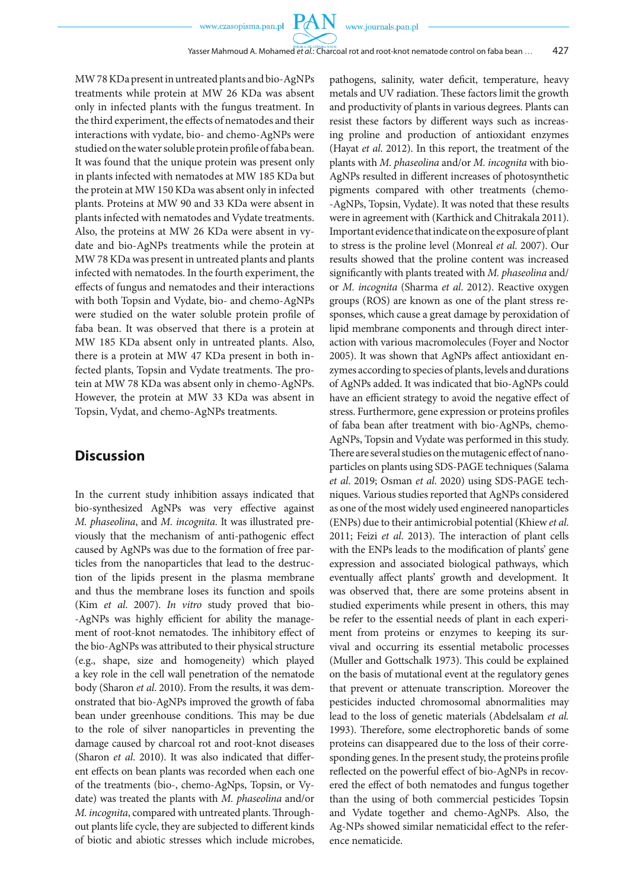**PAN** 

MW 78 KDa present in untreated plants and bio-AgNPs treatments while protein at MW 26 KDa was absent only in infected plants with the fungus treatment. In the third experiment, the effects of nematodes and their interactions with vydate, bio- and chemo-AgNPs were studied on the water soluble protein profile of faba bean. It was found that the unique protein was present only in plants infected with nematodes at MW 185 KDa but the protein at MW 150 KDa was absent only in infected plants. Proteins at MW 90 and 33 KDa were absent in plants infected with nematodes and Vydate treatments. Also, the proteins at MW 26 KDa were absent in vydate and bio-AgNPs treatments while the protein at MW 78 KDa was present in untreated plants and plants infected with nematodes. In the fourth experiment, the effects of fungus and nematodes and their interactions with both Topsin and Vydate, bio- and chemo-AgNPs were studied on the water soluble protein profile of faba bean. It was observed that there is a protein at MW 185 KDa absent only in untreated plants. Also, there is a protein at MW 47 KDa present in both infected plants, Topsin and Vydate treatments. The protein at MW 78 KDa was absent only in chemo-AgNPs. However, the protein at MW 33 KDa was absent in Topsin, Vydat, and chemo-AgNPs treatments.

# **Discussion**

In the current study inhibition assays indicated that bio-synthesized AgNPs was very effective against *M. phaseolina*, and *M. incognita*. It was illustrated previously that the mechanism of anti-pathogenic effect caused by AgNPs was due to the formation of free particles from the nanoparticles that lead to the destruction of the lipids present in the plasma membrane and thus the membrane loses its function and spoils (Kim *et al*. 2007). *In vitro* study proved that bio- -AgNPs was highly efficient for ability the management of root-knot nematodes. The inhibitory effect of the bio-AgNPs was attributed to their physical structure (e.g., shape, size and homogeneity) which played a key role in the cell wall penetration of the nematode body (Sharon *et al*. 2010). From the results, it was demonstrated that bio-AgNPs improved the growth of faba bean under greenhouse conditions. This may be due to the role of silver nanoparticles in preventing the damage caused by charcoal rot and root-knot diseases (Sharon *et al*. 2010). It was also indicated that different effects on bean plants was recorded when each one of the treatments (bio-, chemo-AgNps, Topsin, or Vydate) was treated the plants with *M. phaseolina* and/or *M. incognita*, compared with untreated plants. Throughout plants life cycle, they are subjected to different kinds of biotic and abiotic stresses which include microbes, pathogens, salinity, water deficit, temperature, heavy metals and UV radiation. These factors limit the growth and productivity of plants in various degrees. Plants can resist these factors by different ways such as increasing proline and production of antioxidant enzymes (Hayat *et al*. 2012). In this report, the treatment of the plants with *M. phaseolina* and/or *M. incognita* with bio-AgNPs resulted in different increases of photosynthetic pigments compared with other treatments (chemo- -AgNPs, Topsin, Vydate). It was noted that these results were in agreement with (Karthick and Chitrakala 2011). Important evidence that indicate on the exposure of plant to stress is the proline level (Monreal *et al*. 2007). Our results showed that the proline content was increased significantly with plants treated with *M. phaseolina* and/ or *M. incognita* (Sharma *et al*. 2012). Reactive oxygen groups (ROS) are known as one of the plant stress responses, which cause a great damage by peroxidation of lipid membrane components and through direct interaction with various macromolecules (Foyer and Noctor 2005). It was shown that AgNPs affect antioxidant enzymes according to species of plants, levels and durations of AgNPs added. It was indicated that bio-AgNPs could have an efficient strategy to avoid the negative effect of stress. Furthermore, gene expression or proteins profiles of faba bean after treatment with bio-AgNPs, chemo-AgNPs, Topsin and Vydate was performed in this study. There are several studies on the mutagenic effect of nanoparticles on plants using SDS-PAGE techniques (Salama *et al*. 2019; Osman *et al*. 2020) using SDS-PAGE techniques. Various studies reported that AgNPs considered as one of the most widely used engineered nanoparticles (ENPs) due to their antimicrobial potential (Khiew *et al*. 2011; Feizi *et al*. 2013). The interaction of plant cells with the ENPs leads to the modification of plants' gene expression and associated biological pathways, which eventually affect plants' growth and development. It was observed that, there are some proteins absent in studied experiments while present in others, this may be refer to the essential needs of plant in each experiment from proteins or enzymes to keeping its survival and occurring its essential metabolic processes (Muller and Gottschalk 1973). This could be explained on the basis of mutational event at the regulatory genes that prevent or attenuate transcription. Moreover the pesticides inducted chromosomal abnormalities may lead to the loss of genetic materials (Abdelsalam *et al.*  1993). Therefore, some electrophoretic bands of some proteins can disappeared due to the loss of their corresponding genes. In the present study, the proteins profile reflected on the powerful effect of bio-AgNPs in recovered the effect of both nematodes and fungus together than the using of both commercial pesticides Topsin and Vydate together and chemo-AgNPs. Also, the Ag-NPs showed similar nematicidal effect to the reference nematicide.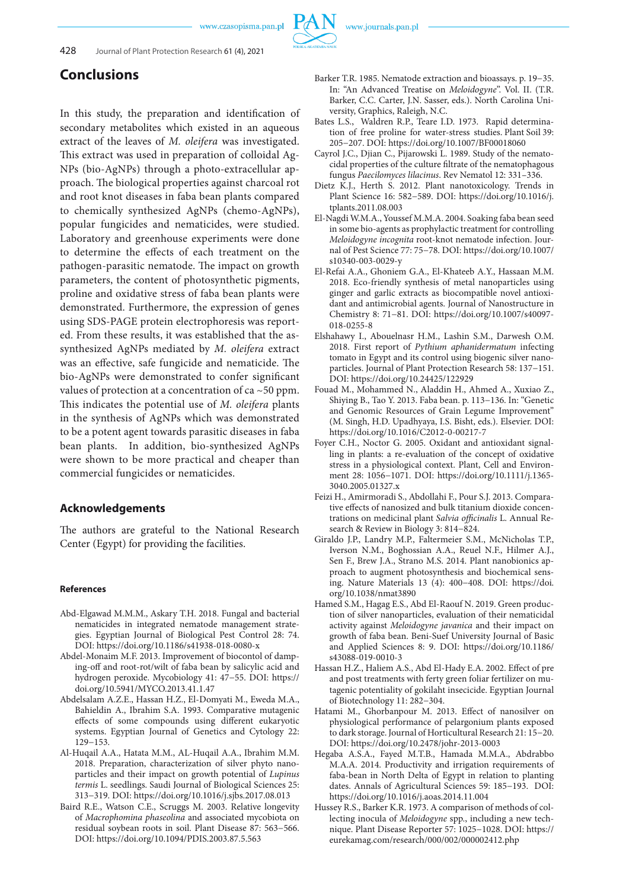

# **Conclusions**

In this study, the preparation and identification of secondary metabolites which existed in an aqueous extract of the leaves of *M. oleifera* was investigated. This extract was used in preparation of colloidal Ag-NPs (bio-AgNPs) through a photo-extracellular approach. The biological properties against charcoal rot and root knot diseases in faba bean plants compared to chemically synthesized AgNPs (chemo-AgNPs), popular fungicides and nematicides, were studied. Laboratory and greenhouse experiments were done to determine the effects of each treatment on the pathogen-parasitic nematode. The impact on growth parameters, the content of photosynthetic pigments, proline and oxidative stress of faba bean plants were demonstrated. Furthermore, the expression of genes using SDS-PAGE protein electrophoresis was reported. From these results, it was established that the assynthesized AgNPs mediated by *M. oleifera* extract was an effective, safe fungicide and nematicide. The bio-AgNPs were demonstrated to confer significant values of protection at a concentration of ca  $\sim$  50 ppm. This indicates the potential use of *M. oleifera* plants in the synthesis of AgNPs which was demonstrated to be a potent agent towards parasitic diseases in faba bean plants. In addition, bio-synthesized AgNPs were shown to be more practical and cheaper than commercial fungicides or nematicides.

# **Acknowledgements**

The authors are grateful to the National Research Center (Egypt) for providing the facilities.

#### **References**

- Abd-Elgawad M.M.M., Askary T.H. 2018. Fungal and bacterial nematicides in integrated nematode management strategies. Egyptian Journal of Biological Pest Control 28: 74. DOI: https://doi.org/10.1186/s41938-018-0080-x
- Abdel-Monaim M.F. 2013. Improvement of biocontol of damping-off and root-rot/wilt of faba bean by salicylic acid and hydrogen peroxide. Mycobiology 41: 47−55. DOI: https:// doi.org/10.5941/MYCO.2013.41.1.47
- Abdelsalam A.Z.E., Hassan H.Z., El-Domyati M., Eweda M.A., Bahieldin A., Ibrahim S.A. 1993. Comparative mutagenic effects of some compounds using different eukaryotic systems. Egyptian Journal of Genetics and Cytology 22: 129−153.
- Al-Huqail A.A., Hatata M.M., AL-Huqail A.A., Ibrahim M.M. 2018. Preparation, characterization of silver phyto nanoparticles and their impact on growth potential of *Lupinus termis* L. seedlings. Saudi Journal of Biological Sciences 25: 313−319. DOI: https://doi.org/10.1016/j.sjbs.2017.08.013
- Baird R.E., Watson C.E., Scruggs M. 2003. Relative longevity of *Macrophomina phaseolina* and associated mycobiota on residual soybean roots in soil. Plant Disease 87: 563−566. DOI: https://doi.org/10.1094/PDIS.2003.87.5.563
- Barker T.R. 1985. Nematode extraction and bioassays. p. 19−35. In: "An Advanced Treatise on *Meloidogyne*". Vol. II. (T.R. Barker, C.C. Carter, J.N. Sasser, eds.). North Carolina University, Graphics, Raleigh, N.C.
- Bates L.S., Waldren R.P., Teare I.D. 1973. Rapid determination of free proline for water-stress studies. Plant Soil 39: 205−207. DOI: https://doi.org/10.1007/BF00018060
- Cayrol J.C., Djian C., Pijarowski L. 1989. Study of the nematocidal properties of the culture filtrate of the nematophagous fungus *Paecilomyces lilacinus*. Rev Nematol 12: 331–336.
- Dietz K.J., Herth S. 2012. Plant nanotoxicology. Trends in Plant Science 16: 582−589. DOI: https://doi.org/10.1016/j. tplants.2011.08.003
- El-Nagdi W.M.A., Youssef M.M.A. 2004. Soaking faba bean seed in some bio-agents as prophylactic treatment for controlling *Meloidogyne incognita* root-knot nematode infection. Journal of Pest Science 77: 75−78. DOI: https://doi.org/10.1007/ s10340-003-0029-y
- El-Refai A.A., Ghoniem G.A., El-Khateeb A.Y., Hassaan M.M. 2018. Eco-friendly synthesis of metal nanoparticles using ginger and garlic extracts as biocompatible novel antioxidant and antimicrobial agents. Journal of Nanostructure in Chemistry 8: 71−81. DOI: https://doi.org/10.1007/s40097- 018-0255-8
- Elshahawy I., Abouelnasr H.M., Lashin S.M., Darwesh O.M. 2018. First report of *Pythium aphanidermatum* infecting tomato in Egypt and its control using biogenic silver nanoparticles. Journal of Plant Protection Research 58: 137−151. DOI: https://doi.org/10.24425/122929
- Fouad M., Mohammed N., Aladdin H., Ahmed A., Xuxiao Z., Shiying B., Tao Y. 2013. Faba bean. p. 113−136. In: "Genetic and Genomic Resources of Grain Legume Improvement" (M. Singh, H.D. Upadhyaya, I.S. Bisht, eds.). Elsevier. DOI: https://doi.org/10.1016/C2012-0-00217-7
- Foyer C.H., Noctor G. 2005. Oxidant and antioxidant signalling in plants: a re-evaluation of the concept of oxidative stress in a physiological context. Plant, Cell and Environment 28: 1056−1071. DOI: https://doi.org/10.1111/j.1365- 3040.2005.01327.x
- Feizi H., Amirmoradi S., Abdollahi F., Pour S.J. 2013. Comparative effects of nanosized and bulk titanium dioxide concentrations on medicinal plant *Salvia officinalis* L. Annual Research & Review in Biology 3: 814−824.
- Giraldo J.P., Landry M.P., Faltermeier S.M., McNicholas T.P., Iverson N.M., Boghossian A.A., Reuel N.F., Hilmer A.J., Sen F., Brew J.A., Strano M.S. 2014. Plant nanobionics approach to augment photosynthesis and biochemical sensing. Nature Materials 13 (4): 400−408. DOI: https://doi. org/10.1038/nmat3890
- Hamed S.M., Hagag E.S., Abd El-Raouf N. 2019. Green production of silver nanoparticles, evaluation of their nematicidal activity against *Meloidogyne javanica* and their impact on growth of faba bean. Beni-Suef University Journal of Basic and Applied Sciences 8: 9. DOI: https://doi.org/10.1186/ s43088-019-0010-3
- Hassan H.Z., Haliem A.S., Abd El-Hady E.A. 2002. Effect of pre and post treatments with ferty green foliar fertilizer on mutagenic potentiality of gokilaht insecicide. Egyptian Journal of Biotechnology 11: 282−304.
- Hatami M., Ghorbanpour M. 2013. Effect of nanosilver on physiological performance of pelargonium plants exposed to dark storage. Journal of Horticultural Research 21: 15−20. DOI: https://doi.org/10.2478/johr-2013-0003
- Hegaba A.S.A., Fayed M.T.B., Hamada M.M.A., Abdrabbo M.A.A. 2014. Productivity and irrigation requirements of faba-bean in North Delta of Egypt in relation to planting dates. Annals of Agricultural Sciences 59: 185−193. DOI: https://doi.org/10.1016/j.aoas.2014.11.004
- Hussey R.S., Barker K.R. 1973. A comparison of methods of collecting inocula of *Meloidogyne* spp., including a new technique. Plant Disease Reporter 57: 1025−1028. DOI: https:// eurekamag.com/research/000/002/000002412.php